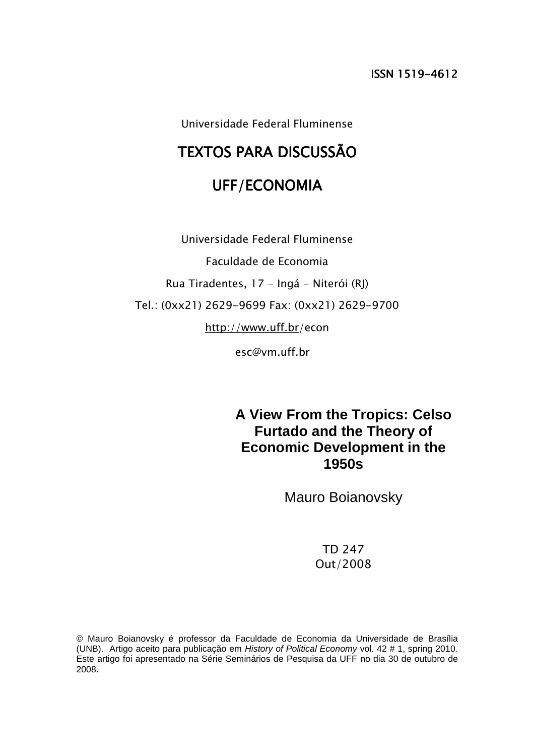Universidade Federal Fluminense

# TEXTOS PARA DISCUSSÃO

## UFF/ECONOMIA

Universidade Federal Fluminense Faculdade de Economia Rua Tiradentes, 17 - Ingá - Niterói (RJ) Tel.: (0xx21) 2629-9699 Fax: (0xx21) 2629-9700 http://www.uff.br/econ

esc@vm.uff.br

**A View From the Tropics: Celso Furtado and the Theory of Economic Development in the 1950s** 

Mauro Boianovsky

TD 247 Out/2008

© Mauro Boianovsky é professor da Faculdade de Economia da Universidade de Brasília (UNB). Artigo aceito para publicação em History of Political Economy vol. 42 # 1, spring 2010. Este artigo foi apresentado na Série Seminários de Pesquisa da UFF no dia 30 de outubro de 2008.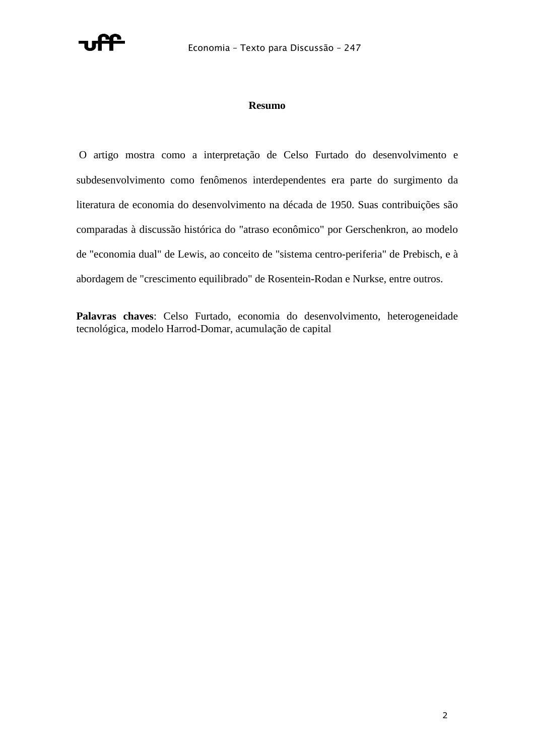

### **Resumo**

 O artigo mostra como a interpretação de Celso Furtado do desenvolvimento e subdesenvolvimento como fenômenos interdependentes era parte do surgimento da literatura de economia do desenvolvimento na década de 1950. Suas contribuições são comparadas à discussão histórica do "atraso econômico" por Gerschenkron, ao modelo de "economia dual" de Lewis, ao conceito de "sistema centro-periferia" de Prebisch, e à abordagem de "crescimento equilibrado" de Rosentein-Rodan e Nurkse, entre outros.

**Palavras chaves**: Celso Furtado, economia do desenvolvimento, heterogeneidade tecnológica, modelo Harrod-Domar, acumulação de capital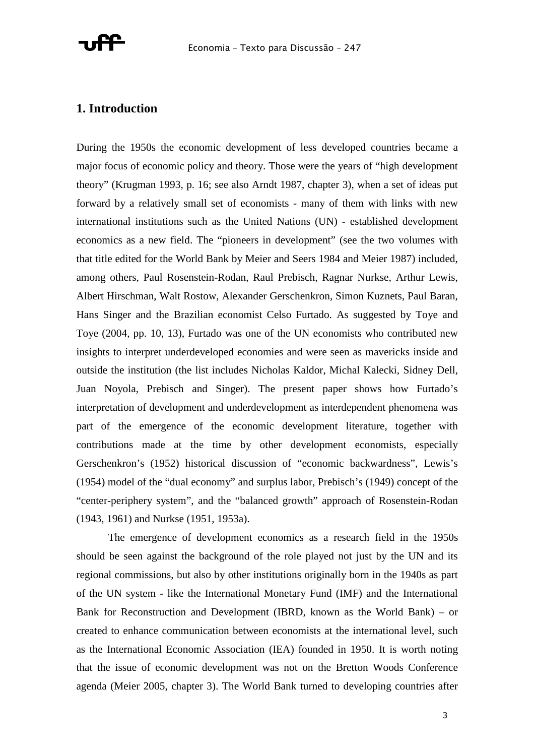

### **1. Introduction**

During the 1950s the economic development of less developed countries became a major focus of economic policy and theory. Those were the years of "high development theory" (Krugman 1993, p. 16; see also Arndt 1987, chapter 3), when a set of ideas put forward by a relatively small set of economists - many of them with links with new international institutions such as the United Nations (UN) - established development economics as a new field. The "pioneers in development" (see the two volumes with that title edited for the World Bank by Meier and Seers 1984 and Meier 1987) included, among others, Paul Rosenstein-Rodan, Raul Prebisch, Ragnar Nurkse, Arthur Lewis, Albert Hirschman, Walt Rostow, Alexander Gerschenkron, Simon Kuznets, Paul Baran, Hans Singer and the Brazilian economist Celso Furtado. As suggested by Toye and Toye (2004, pp. 10, 13), Furtado was one of the UN economists who contributed new insights to interpret underdeveloped economies and were seen as mavericks inside and outside the institution (the list includes Nicholas Kaldor, Michal Kalecki, Sidney Dell, Juan Noyola, Prebisch and Singer). The present paper shows how Furtado's interpretation of development and underdevelopment as interdependent phenomena was part of the emergence of the economic development literature, together with contributions made at the time by other development economists, especially Gerschenkron's (1952) historical discussion of "economic backwardness", Lewis's (1954) model of the "dual economy" and surplus labor, Prebisch's (1949) concept of the "center-periphery system", and the "balanced growth" approach of Rosenstein-Rodan (1943, 1961) and Nurkse (1951, 1953a).

 The emergence of development economics as a research field in the 1950s should be seen against the background of the role played not just by the UN and its regional commissions, but also by other institutions originally born in the 1940s as part of the UN system - like the International Monetary Fund (IMF) and the International Bank for Reconstruction and Development (IBRD, known as the World Bank) – or created to enhance communication between economists at the international level, such as the International Economic Association (IEA) founded in 1950. It is worth noting that the issue of economic development was not on the Bretton Woods Conference agenda (Meier 2005, chapter 3). The World Bank turned to developing countries after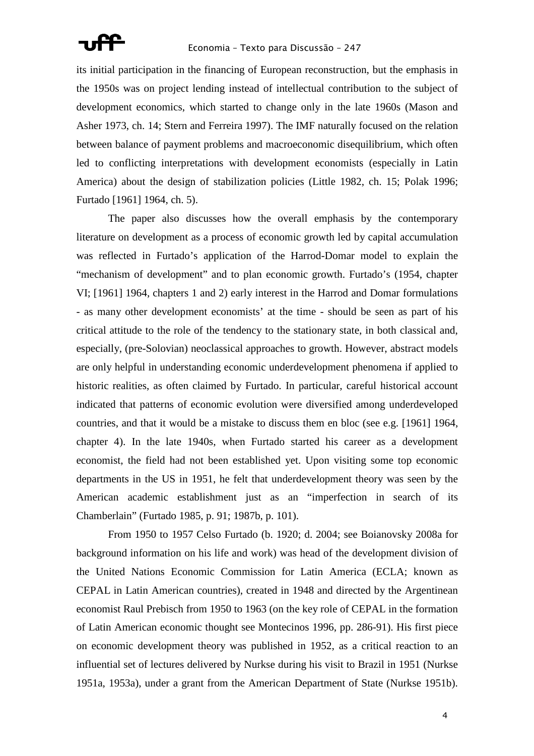

its initial participation in the financing of European reconstruction, but the emphasis in the 1950s was on project lending instead of intellectual contribution to the subject of development economics, which started to change only in the late 1960s (Mason and Asher 1973, ch. 14; Stern and Ferreira 1997). The IMF naturally focused on the relation between balance of payment problems and macroeconomic disequilibrium, which often led to conflicting interpretations with development economists (especially in Latin America) about the design of stabilization policies (Little 1982, ch. 15; Polak 1996; Furtado [1961] 1964, ch. 5).

 The paper also discusses how the overall emphasis by the contemporary literature on development as a process of economic growth led by capital accumulation was reflected in Furtado's application of the Harrod-Domar model to explain the "mechanism of development" and to plan economic growth. Furtado's (1954, chapter VI; [1961] 1964, chapters 1 and 2) early interest in the Harrod and Domar formulations - as many other development economists' at the time - should be seen as part of his critical attitude to the role of the tendency to the stationary state, in both classical and, especially, (pre-Solovian) neoclassical approaches to growth. However, abstract models are only helpful in understanding economic underdevelopment phenomena if applied to historic realities, as often claimed by Furtado. In particular, careful historical account indicated that patterns of economic evolution were diversified among underdeveloped countries, and that it would be a mistake to discuss them en bloc (see e.g. [1961] 1964, chapter 4). In the late 1940s, when Furtado started his career as a development economist, the field had not been established yet. Upon visiting some top economic departments in the US in 1951, he felt that underdevelopment theory was seen by the American academic establishment just as an "imperfection in search of its Chamberlain" (Furtado 1985, p. 91; 1987b, p. 101).

 From 1950 to 1957 Celso Furtado (b. 1920; d. 2004; see Boianovsky 2008a for background information on his life and work) was head of the development division of the United Nations Economic Commission for Latin America (ECLA; known as CEPAL in Latin American countries), created in 1948 and directed by the Argentinean economist Raul Prebisch from 1950 to 1963 (on the key role of CEPAL in the formation of Latin American economic thought see Montecinos 1996, pp. 286-91). His first piece on economic development theory was published in 1952, as a critical reaction to an influential set of lectures delivered by Nurkse during his visit to Brazil in 1951 (Nurkse 1951a, 1953a), under a grant from the American Department of State (Nurkse 1951b).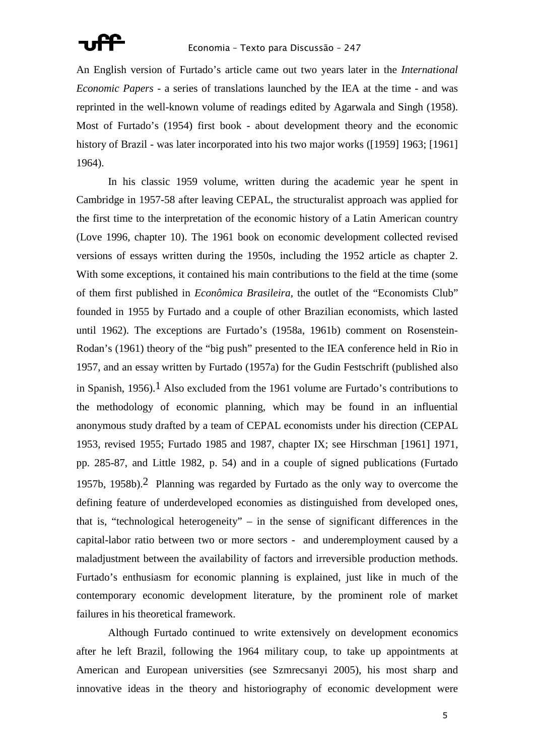

An English version of Furtado's article came out two years later in the *International Economic Papers* - a series of translations launched by the IEA at the time - and was reprinted in the well-known volume of readings edited by Agarwala and Singh (1958). Most of Furtado's (1954) first book - about development theory and the economic history of Brazil - was later incorporated into his two major works ([1959] 1963; [1961] 1964).

 In his classic 1959 volume, written during the academic year he spent in Cambridge in 1957-58 after leaving CEPAL, the structuralist approach was applied for the first time to the interpretation of the economic history of a Latin American country (Love 1996, chapter 10). The 1961 book on economic development collected revised versions of essays written during the 1950s, including the 1952 article as chapter 2. With some exceptions, it contained his main contributions to the field at the time (some of them first published in *Econômica Brasileira*, the outlet of the "Economists Club" founded in 1955 by Furtado and a couple of other Brazilian economists, which lasted until 1962). The exceptions are Furtado's (1958a, 1961b) comment on Rosenstein-Rodan's (1961) theory of the "big push" presented to the IEA conference held in Rio in 1957, and an essay written by Furtado (1957a) for the Gudin Festschrift (published also in Spanish, 1956).<sup>1</sup> Also excluded from the 1961 volume are Furtado's contributions to the methodology of economic planning, which may be found in an influential anonymous study drafted by a team of CEPAL economists under his direction (CEPAL 1953, revised 1955; Furtado 1985 and 1987, chapter IX; see Hirschman [1961] 1971, pp. 285-87, and Little 1982, p. 54) and in a couple of signed publications (Furtado 1957b, 1958b).<sup>2</sup> Planning was regarded by Furtado as the only way to overcome the defining feature of underdeveloped economies as distinguished from developed ones, that is, "technological heterogeneity" – in the sense of significant differences in the capital-labor ratio between two or more sectors - and underemployment caused by a maladjustment between the availability of factors and irreversible production methods. Furtado's enthusiasm for economic planning is explained, just like in much of the contemporary economic development literature, by the prominent role of market failures in his theoretical framework.

 Although Furtado continued to write extensively on development economics after he left Brazil, following the 1964 military coup, to take up appointments at American and European universities (see Szmrecsanyi 2005), his most sharp and innovative ideas in the theory and historiography of economic development were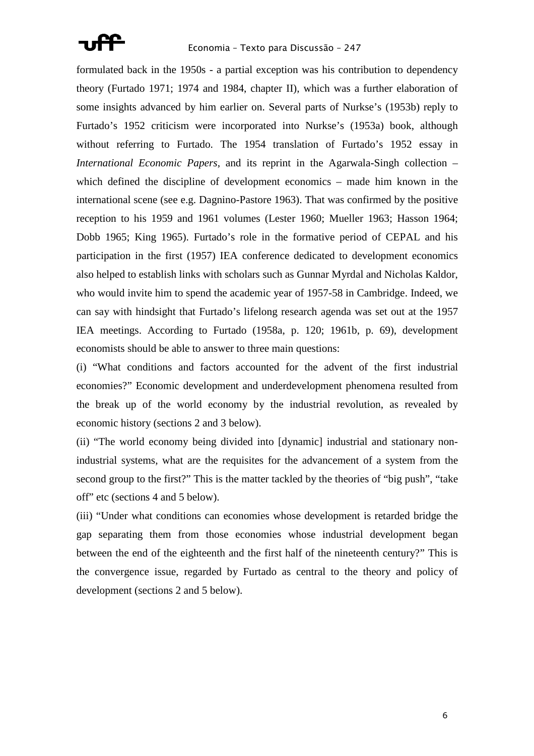

formulated back in the 1950s - a partial exception was his contribution to dependency theory (Furtado 1971; 1974 and 1984, chapter II), which was a further elaboration of some insights advanced by him earlier on. Several parts of Nurkse's (1953b) reply to Furtado's 1952 criticism were incorporated into Nurkse's (1953a) book, although without referring to Furtado. The 1954 translation of Furtado's 1952 essay in *International Economic Papers*, and its reprint in the Agarwala-Singh collection – which defined the discipline of development economics – made him known in the international scene (see e.g. Dagnino-Pastore 1963). That was confirmed by the positive reception to his 1959 and 1961 volumes (Lester 1960; Mueller 1963; Hasson 1964; Dobb 1965; King 1965). Furtado's role in the formative period of CEPAL and his participation in the first (1957) IEA conference dedicated to development economics also helped to establish links with scholars such as Gunnar Myrdal and Nicholas Kaldor, who would invite him to spend the academic year of 1957-58 in Cambridge. Indeed, we can say with hindsight that Furtado's lifelong research agenda was set out at the 1957 IEA meetings. According to Furtado (1958a, p. 120; 1961b, p. 69), development economists should be able to answer to three main questions:

(i) "What conditions and factors accounted for the advent of the first industrial economies?" Economic development and underdevelopment phenomena resulted from the break up of the world economy by the industrial revolution, as revealed by economic history (sections 2 and 3 below).

(ii) "The world economy being divided into [dynamic] industrial and stationary nonindustrial systems, what are the requisites for the advancement of a system from the second group to the first?" This is the matter tackled by the theories of "big push", "take off" etc (sections 4 and 5 below).

(iii) "Under what conditions can economies whose development is retarded bridge the gap separating them from those economies whose industrial development began between the end of the eighteenth and the first half of the nineteenth century?" This is the convergence issue, regarded by Furtado as central to the theory and policy of development (sections 2 and 5 below).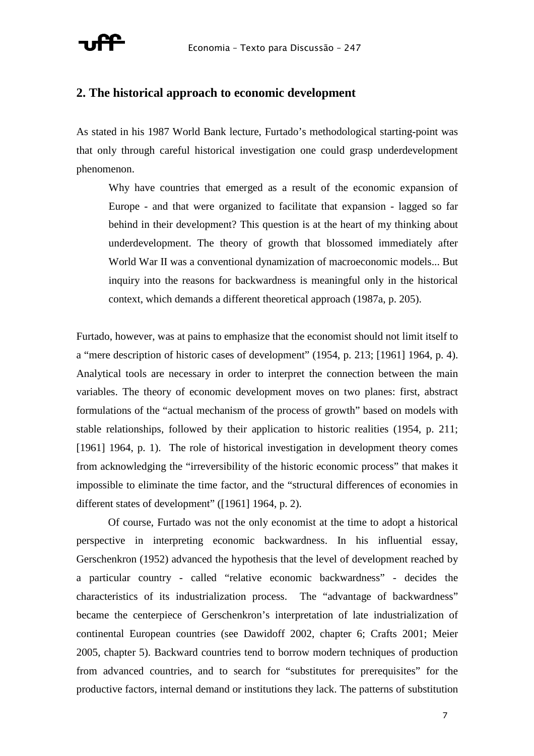

### **2. The historical approach to economic development**

As stated in his 1987 World Bank lecture, Furtado's methodological starting-point was that only through careful historical investigation one could grasp underdevelopment phenomenon.

Why have countries that emerged as a result of the economic expansion of Europe - and that were organized to facilitate that expansion - lagged so far behind in their development? This question is at the heart of my thinking about underdevelopment. The theory of growth that blossomed immediately after World War II was a conventional dynamization of macroeconomic models... But inquiry into the reasons for backwardness is meaningful only in the historical context, which demands a different theoretical approach (1987a, p. 205).

Furtado, however, was at pains to emphasize that the economist should not limit itself to a "mere description of historic cases of development" (1954, p. 213; [1961] 1964, p. 4). Analytical tools are necessary in order to interpret the connection between the main variables. The theory of economic development moves on two planes: first, abstract formulations of the "actual mechanism of the process of growth" based on models with stable relationships, followed by their application to historic realities (1954, p. 211; [1961] 1964, p. 1). The role of historical investigation in development theory comes from acknowledging the "irreversibility of the historic economic process" that makes it impossible to eliminate the time factor, and the "structural differences of economies in different states of development" ([1961] 1964, p. 2).

 Of course, Furtado was not the only economist at the time to adopt a historical perspective in interpreting economic backwardness. In his influential essay, Gerschenkron (1952) advanced the hypothesis that the level of development reached by a particular country - called "relative economic backwardness" - decides the characteristics of its industrialization process. The "advantage of backwardness" became the centerpiece of Gerschenkron's interpretation of late industrialization of continental European countries (see Dawidoff 2002, chapter 6; Crafts 2001; Meier 2005, chapter 5). Backward countries tend to borrow modern techniques of production from advanced countries, and to search for "substitutes for prerequisites" for the productive factors, internal demand or institutions they lack. The patterns of substitution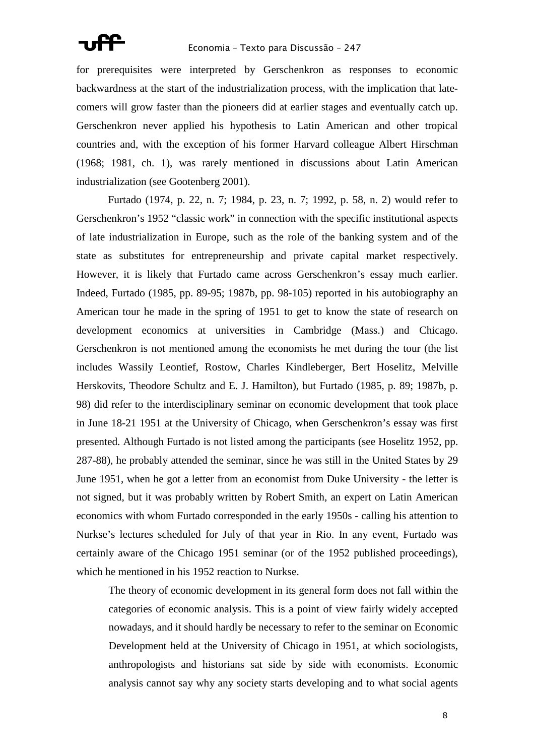

for prerequisites were interpreted by Gerschenkron as responses to economic backwardness at the start of the industrialization process, with the implication that latecomers will grow faster than the pioneers did at earlier stages and eventually catch up. Gerschenkron never applied his hypothesis to Latin American and other tropical countries and, with the exception of his former Harvard colleague Albert Hirschman (1968; 1981, ch. 1), was rarely mentioned in discussions about Latin American industrialization (see Gootenberg 2001).

 Furtado (1974, p. 22, n. 7; 1984, p. 23, n. 7; 1992, p. 58, n. 2) would refer to Gerschenkron's 1952 "classic work" in connection with the specific institutional aspects of late industrialization in Europe, such as the role of the banking system and of the state as substitutes for entrepreneurship and private capital market respectively. However, it is likely that Furtado came across Gerschenkron's essay much earlier. Indeed, Furtado (1985, pp. 89-95; 1987b, pp. 98-105) reported in his autobiography an American tour he made in the spring of 1951 to get to know the state of research on development economics at universities in Cambridge (Mass.) and Chicago. Gerschenkron is not mentioned among the economists he met during the tour (the list includes Wassily Leontief, Rostow, Charles Kindleberger, Bert Hoselitz, Melville Herskovits, Theodore Schultz and E. J. Hamilton), but Furtado (1985, p. 89; 1987b, p. 98) did refer to the interdisciplinary seminar on economic development that took place in June 18-21 1951 at the University of Chicago, when Gerschenkron's essay was first presented. Although Furtado is not listed among the participants (see Hoselitz 1952, pp. 287-88), he probably attended the seminar, since he was still in the United States by 29 June 1951, when he got a letter from an economist from Duke University - the letter is not signed, but it was probably written by Robert Smith, an expert on Latin American economics with whom Furtado corresponded in the early 1950s - calling his attention to Nurkse's lectures scheduled for July of that year in Rio. In any event, Furtado was certainly aware of the Chicago 1951 seminar (or of the 1952 published proceedings), which he mentioned in his 1952 reaction to Nurkse.

The theory of economic development in its general form does not fall within the categories of economic analysis. This is a point of view fairly widely accepted nowadays, and it should hardly be necessary to refer to the seminar on Economic Development held at the University of Chicago in 1951, at which sociologists, anthropologists and historians sat side by side with economists. Economic analysis cannot say why any society starts developing and to what social agents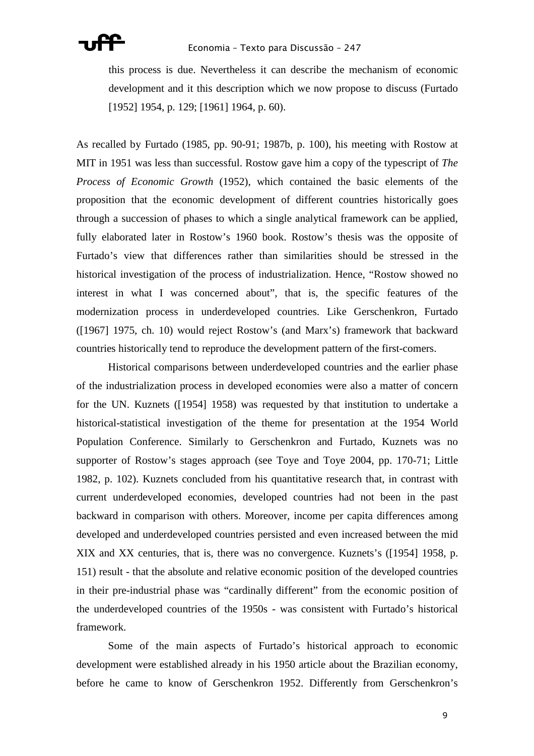this process is due. Nevertheless it can describe the mechanism of economic development and it this description which we now propose to discuss (Furtado [1952] 1954, p. 129; [1961] 1964, p. 60).

As recalled by Furtado (1985, pp. 90-91; 1987b, p. 100), his meeting with Rostow at MIT in 1951 was less than successful. Rostow gave him a copy of the typescript of *The Process of Economic Growth* (1952), which contained the basic elements of the proposition that the economic development of different countries historically goes through a succession of phases to which a single analytical framework can be applied, fully elaborated later in Rostow's 1960 book. Rostow's thesis was the opposite of Furtado's view that differences rather than similarities should be stressed in the historical investigation of the process of industrialization. Hence, "Rostow showed no interest in what I was concerned about", that is, the specific features of the modernization process in underdeveloped countries. Like Gerschenkron, Furtado ([1967] 1975, ch. 10) would reject Rostow's (and Marx's) framework that backward countries historically tend to reproduce the development pattern of the first-comers.

 Historical comparisons between underdeveloped countries and the earlier phase of the industrialization process in developed economies were also a matter of concern for the UN. Kuznets ([1954] 1958) was requested by that institution to undertake a historical-statistical investigation of the theme for presentation at the 1954 World Population Conference. Similarly to Gerschenkron and Furtado, Kuznets was no supporter of Rostow's stages approach (see Toye and Toye 2004, pp. 170-71; Little 1982, p. 102). Kuznets concluded from his quantitative research that, in contrast with current underdeveloped economies, developed countries had not been in the past backward in comparison with others. Moreover, income per capita differences among developed and underdeveloped countries persisted and even increased between the mid XIX and XX centuries, that is, there was no convergence. Kuznets's ([1954] 1958, p. 151) result - that the absolute and relative economic position of the developed countries in their pre-industrial phase was "cardinally different" from the economic position of the underdeveloped countries of the 1950s - was consistent with Furtado's historical framework.

 Some of the main aspects of Furtado's historical approach to economic development were established already in his 1950 article about the Brazilian economy, before he came to know of Gerschenkron 1952. Differently from Gerschenkron's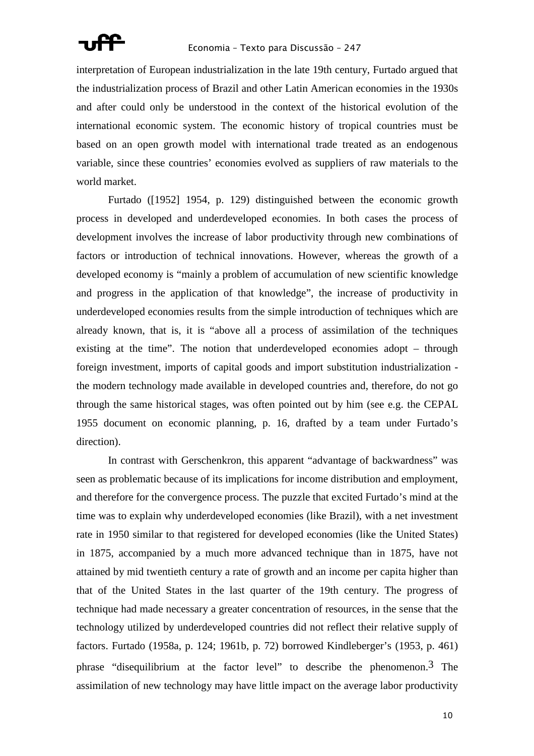

interpretation of European industrialization in the late 19th century, Furtado argued that the industrialization process of Brazil and other Latin American economies in the 1930s and after could only be understood in the context of the historical evolution of the international economic system. The economic history of tropical countries must be based on an open growth model with international trade treated as an endogenous variable, since these countries' economies evolved as suppliers of raw materials to the world market.

 Furtado ([1952] 1954, p. 129) distinguished between the economic growth process in developed and underdeveloped economies. In both cases the process of development involves the increase of labor productivity through new combinations of factors or introduction of technical innovations. However, whereas the growth of a developed economy is "mainly a problem of accumulation of new scientific knowledge and progress in the application of that knowledge", the increase of productivity in underdeveloped economies results from the simple introduction of techniques which are already known, that is, it is "above all a process of assimilation of the techniques existing at the time". The notion that underdeveloped economies adopt – through foreign investment, imports of capital goods and import substitution industrialization the modern technology made available in developed countries and, therefore, do not go through the same historical stages, was often pointed out by him (see e.g. the CEPAL 1955 document on economic planning, p. 16, drafted by a team under Furtado's direction).

 In contrast with Gerschenkron, this apparent "advantage of backwardness" was seen as problematic because of its implications for income distribution and employment, and therefore for the convergence process. The puzzle that excited Furtado's mind at the time was to explain why underdeveloped economies (like Brazil), with a net investment rate in 1950 similar to that registered for developed economies (like the United States) in 1875, accompanied by a much more advanced technique than in 1875, have not attained by mid twentieth century a rate of growth and an income per capita higher than that of the United States in the last quarter of the 19th century. The progress of technique had made necessary a greater concentration of resources, in the sense that the technology utilized by underdeveloped countries did not reflect their relative supply of factors. Furtado (1958a, p. 124; 1961b, p. 72) borrowed Kindleberger's (1953, p. 461) phrase "disequilibrium at the factor level" to describe the phenomenon.3 The assimilation of new technology may have little impact on the average labor productivity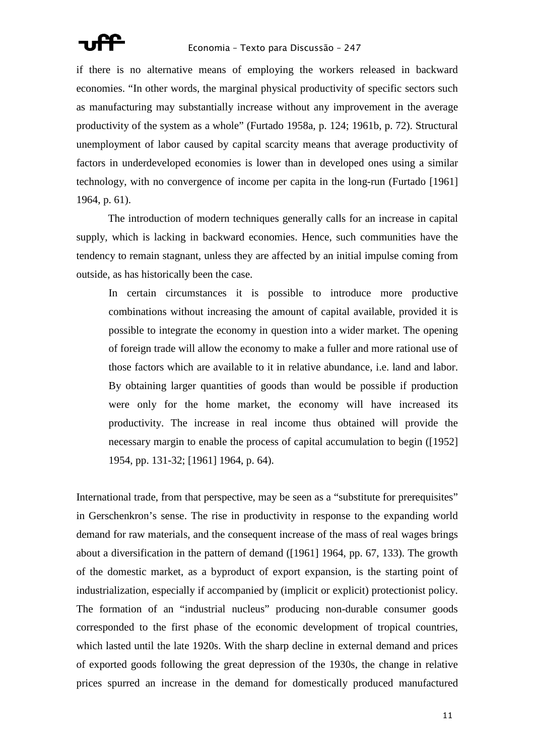if there is no alternative means of employing the workers released in backward economies. "In other words, the marginal physical productivity of specific sectors such as manufacturing may substantially increase without any improvement in the average productivity of the system as a whole" (Furtado 1958a, p. 124; 1961b, p. 72). Structural unemployment of labor caused by capital scarcity means that average productivity of factors in underdeveloped economies is lower than in developed ones using a similar technology, with no convergence of income per capita in the long-run (Furtado [1961] 1964, p. 61).

 The introduction of modern techniques generally calls for an increase in capital supply, which is lacking in backward economies. Hence, such communities have the tendency to remain stagnant, unless they are affected by an initial impulse coming from outside, as has historically been the case.

In certain circumstances it is possible to introduce more productive combinations without increasing the amount of capital available, provided it is possible to integrate the economy in question into a wider market. The opening of foreign trade will allow the economy to make a fuller and more rational use of those factors which are available to it in relative abundance, i.e. land and labor. By obtaining larger quantities of goods than would be possible if production were only for the home market, the economy will have increased its productivity. The increase in real income thus obtained will provide the necessary margin to enable the process of capital accumulation to begin ([1952] 1954, pp. 131-32; [1961] 1964, p. 64).

International trade, from that perspective, may be seen as a "substitute for prerequisites" in Gerschenkron's sense. The rise in productivity in response to the expanding world demand for raw materials, and the consequent increase of the mass of real wages brings about a diversification in the pattern of demand ([1961] 1964, pp. 67, 133). The growth of the domestic market, as a byproduct of export expansion, is the starting point of industrialization, especially if accompanied by (implicit or explicit) protectionist policy. The formation of an "industrial nucleus" producing non-durable consumer goods corresponded to the first phase of the economic development of tropical countries, which lasted until the late 1920s. With the sharp decline in external demand and prices of exported goods following the great depression of the 1930s, the change in relative prices spurred an increase in the demand for domestically produced manufactured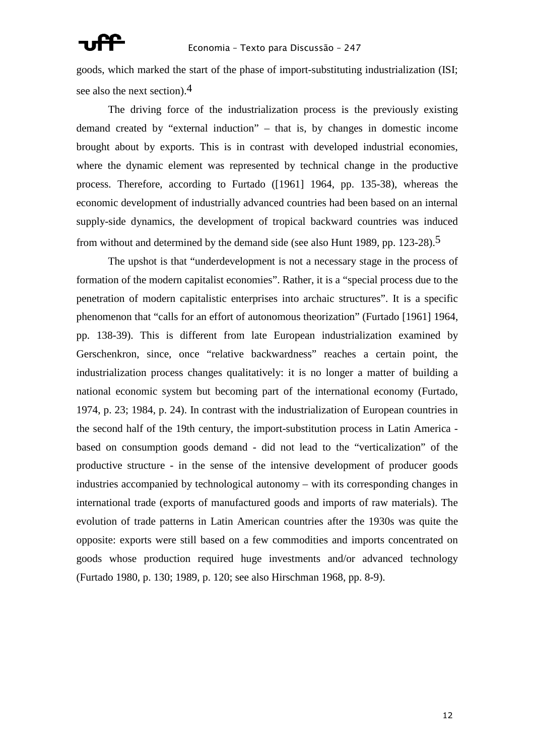goods, which marked the start of the phase of import-substituting industrialization (ISI; see also the next section).4

 The driving force of the industrialization process is the previously existing demand created by "external induction" – that is, by changes in domestic income brought about by exports. This is in contrast with developed industrial economies, where the dynamic element was represented by technical change in the productive process. Therefore, according to Furtado ([1961] 1964, pp. 135-38), whereas the economic development of industrially advanced countries had been based on an internal supply-side dynamics, the development of tropical backward countries was induced from without and determined by the demand side (see also Hunt 1989, pp. 123-28).5

 The upshot is that "underdevelopment is not a necessary stage in the process of formation of the modern capitalist economies". Rather, it is a "special process due to the penetration of modern capitalistic enterprises into archaic structures". It is a specific phenomenon that "calls for an effort of autonomous theorization" (Furtado [1961] 1964, pp. 138-39). This is different from late European industrialization examined by Gerschenkron, since, once "relative backwardness" reaches a certain point, the industrialization process changes qualitatively: it is no longer a matter of building a national economic system but becoming part of the international economy (Furtado, 1974, p. 23; 1984, p. 24). In contrast with the industrialization of European countries in the second half of the 19th century, the import-substitution process in Latin America based on consumption goods demand - did not lead to the "verticalization" of the productive structure - in the sense of the intensive development of producer goods industries accompanied by technological autonomy – with its corresponding changes in international trade (exports of manufactured goods and imports of raw materials). The evolution of trade patterns in Latin American countries after the 1930s was quite the opposite: exports were still based on a few commodities and imports concentrated on goods whose production required huge investments and/or advanced technology (Furtado 1980, p. 130; 1989, p. 120; see also Hirschman 1968, pp. 8-9).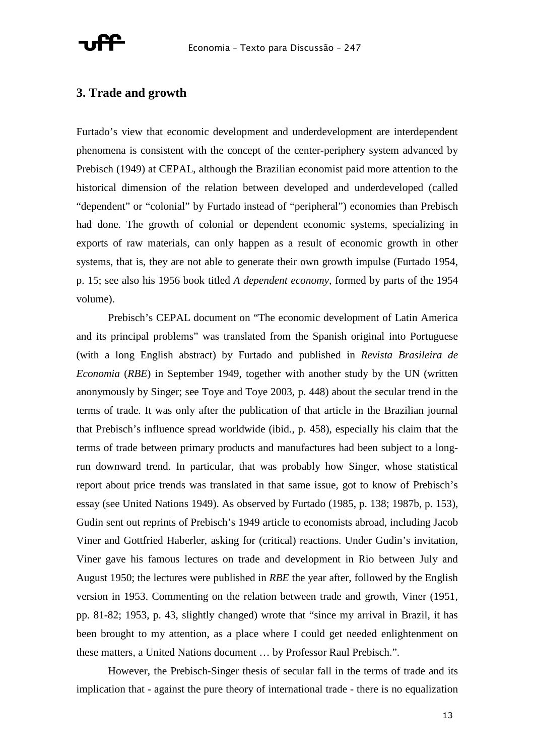

### **3. Trade and growth**

Furtado's view that economic development and underdevelopment are interdependent phenomena is consistent with the concept of the center-periphery system advanced by Prebisch (1949) at CEPAL, although the Brazilian economist paid more attention to the historical dimension of the relation between developed and underdeveloped (called "dependent" or "colonial" by Furtado instead of "peripheral") economies than Prebisch had done. The growth of colonial or dependent economic systems, specializing in exports of raw materials, can only happen as a result of economic growth in other systems, that is, they are not able to generate their own growth impulse (Furtado 1954, p. 15; see also his 1956 book titled *A dependent economy*, formed by parts of the 1954 volume).

 Prebisch's CEPAL document on "The economic development of Latin America and its principal problems" was translated from the Spanish original into Portuguese (with a long English abstract) by Furtado and published in *Revista Brasileira de Economia* (*RBE*) in September 1949, together with another study by the UN (written anonymously by Singer; see Toye and Toye 2003, p. 448) about the secular trend in the terms of trade. It was only after the publication of that article in the Brazilian journal that Prebisch's influence spread worldwide (ibid., p. 458), especially his claim that the terms of trade between primary products and manufactures had been subject to a longrun downward trend. In particular, that was probably how Singer, whose statistical report about price trends was translated in that same issue, got to know of Prebisch's essay (see United Nations 1949). As observed by Furtado (1985, p. 138; 1987b, p. 153), Gudin sent out reprints of Prebisch's 1949 article to economists abroad, including Jacob Viner and Gottfried Haberler, asking for (critical) reactions. Under Gudin's invitation, Viner gave his famous lectures on trade and development in Rio between July and August 1950; the lectures were published in *RBE* the year after, followed by the English version in 1953. Commenting on the relation between trade and growth, Viner (1951, pp. 81-82; 1953, p. 43, slightly changed) wrote that "since my arrival in Brazil, it has been brought to my attention, as a place where I could get needed enlightenment on these matters, a United Nations document … by Professor Raul Prebisch.".

 However, the Prebisch-Singer thesis of secular fall in the terms of trade and its implication that - against the pure theory of international trade - there is no equalization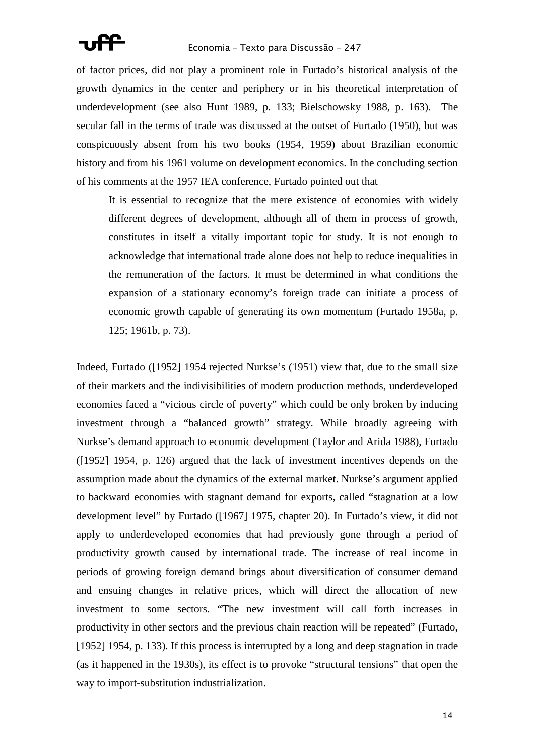

of factor prices, did not play a prominent role in Furtado's historical analysis of the growth dynamics in the center and periphery or in his theoretical interpretation of underdevelopment (see also Hunt 1989, p. 133; Bielschowsky 1988, p. 163). The secular fall in the terms of trade was discussed at the outset of Furtado (1950), but was conspicuously absent from his two books (1954, 1959) about Brazilian economic history and from his 1961 volume on development economics. In the concluding section of his comments at the 1957 IEA conference, Furtado pointed out that

It is essential to recognize that the mere existence of economies with widely different degrees of development, although all of them in process of growth, constitutes in itself a vitally important topic for study. It is not enough to acknowledge that international trade alone does not help to reduce inequalities in the remuneration of the factors. It must be determined in what conditions the expansion of a stationary economy's foreign trade can initiate a process of economic growth capable of generating its own momentum (Furtado 1958a, p. 125; 1961b, p. 73).

Indeed, Furtado ([1952] 1954 rejected Nurkse's (1951) view that, due to the small size of their markets and the indivisibilities of modern production methods, underdeveloped economies faced a "vicious circle of poverty" which could be only broken by inducing investment through a "balanced growth" strategy. While broadly agreeing with Nurkse's demand approach to economic development (Taylor and Arida 1988), Furtado ([1952] 1954, p. 126) argued that the lack of investment incentives depends on the assumption made about the dynamics of the external market. Nurkse's argument applied to backward economies with stagnant demand for exports, called "stagnation at a low development level" by Furtado ([1967] 1975, chapter 20). In Furtado's view, it did not apply to underdeveloped economies that had previously gone through a period of productivity growth caused by international trade. The increase of real income in periods of growing foreign demand brings about diversification of consumer demand and ensuing changes in relative prices, which will direct the allocation of new investment to some sectors. "The new investment will call forth increases in productivity in other sectors and the previous chain reaction will be repeated" (Furtado, [1952] 1954, p. 133). If this process is interrupted by a long and deep stagnation in trade (as it happened in the 1930s), its effect is to provoke "structural tensions" that open the way to import-substitution industrialization.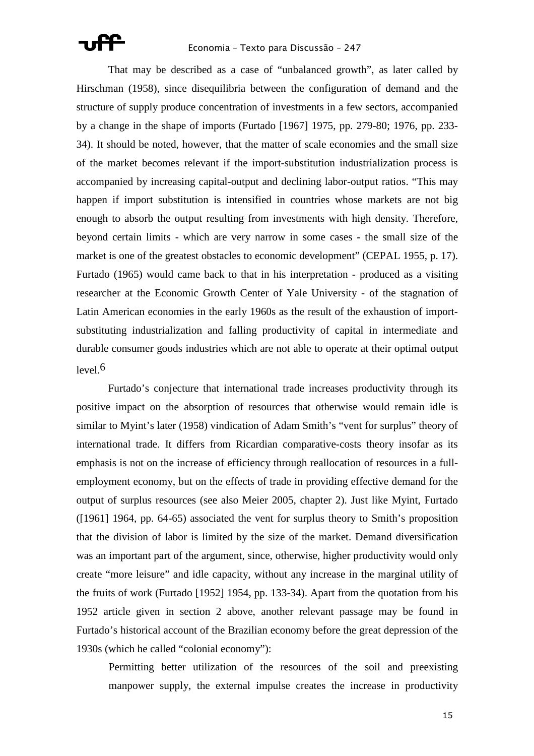That may be described as a case of "unbalanced growth", as later called by Hirschman (1958), since disequilibria between the configuration of demand and the structure of supply produce concentration of investments in a few sectors, accompanied by a change in the shape of imports (Furtado [1967] 1975, pp. 279-80; 1976, pp. 233- 34). It should be noted, however, that the matter of scale economies and the small size of the market becomes relevant if the import-substitution industrialization process is accompanied by increasing capital-output and declining labor-output ratios. "This may happen if import substitution is intensified in countries whose markets are not big enough to absorb the output resulting from investments with high density. Therefore, beyond certain limits - which are very narrow in some cases - the small size of the market is one of the greatest obstacles to economic development" (CEPAL 1955, p. 17). Furtado (1965) would came back to that in his interpretation - produced as a visiting researcher at the Economic Growth Center of Yale University - of the stagnation of Latin American economies in the early 1960s as the result of the exhaustion of importsubstituting industrialization and falling productivity of capital in intermediate and durable consumer goods industries which are not able to operate at their optimal output level  $6$ 

 Furtado's conjecture that international trade increases productivity through its positive impact on the absorption of resources that otherwise would remain idle is similar to Myint's later (1958) vindication of Adam Smith's "vent for surplus" theory of international trade. It differs from Ricardian comparative-costs theory insofar as its emphasis is not on the increase of efficiency through reallocation of resources in a fullemployment economy, but on the effects of trade in providing effective demand for the output of surplus resources (see also Meier 2005, chapter 2). Just like Myint, Furtado ([1961] 1964, pp. 64-65) associated the vent for surplus theory to Smith's proposition that the division of labor is limited by the size of the market. Demand diversification was an important part of the argument, since, otherwise, higher productivity would only create "more leisure" and idle capacity, without any increase in the marginal utility of the fruits of work (Furtado [1952] 1954, pp. 133-34). Apart from the quotation from his 1952 article given in section 2 above, another relevant passage may be found in Furtado's historical account of the Brazilian economy before the great depression of the 1930s (which he called "colonial economy"):

Permitting better utilization of the resources of the soil and preexisting manpower supply, the external impulse creates the increase in productivity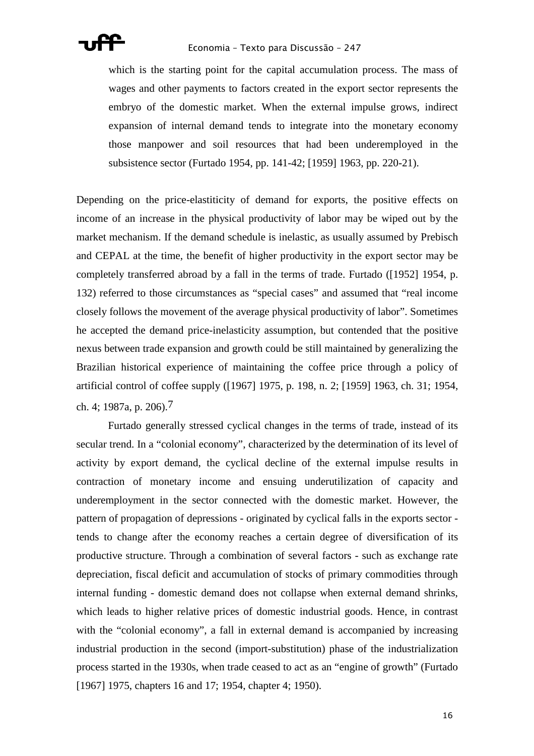

which is the starting point for the capital accumulation process. The mass of wages and other payments to factors created in the export sector represents the embryo of the domestic market. When the external impulse grows, indirect expansion of internal demand tends to integrate into the monetary economy those manpower and soil resources that had been underemployed in the subsistence sector (Furtado 1954, pp. 141-42; [1959] 1963, pp. 220-21).

Depending on the price-elastiticity of demand for exports, the positive effects on income of an increase in the physical productivity of labor may be wiped out by the market mechanism. If the demand schedule is inelastic, as usually assumed by Prebisch and CEPAL at the time, the benefit of higher productivity in the export sector may be completely transferred abroad by a fall in the terms of trade. Furtado ([1952] 1954, p. 132) referred to those circumstances as "special cases" and assumed that "real income closely follows the movement of the average physical productivity of labor". Sometimes he accepted the demand price-inelasticity assumption, but contended that the positive nexus between trade expansion and growth could be still maintained by generalizing the Brazilian historical experience of maintaining the coffee price through a policy of artificial control of coffee supply ([1967] 1975, p. 198, n. 2; [1959] 1963, ch. 31; 1954, ch. 4; 1987a, p. 206).7

 Furtado generally stressed cyclical changes in the terms of trade, instead of its secular trend. In a "colonial economy", characterized by the determination of its level of activity by export demand, the cyclical decline of the external impulse results in contraction of monetary income and ensuing underutilization of capacity and underemployment in the sector connected with the domestic market. However, the pattern of propagation of depressions - originated by cyclical falls in the exports sector tends to change after the economy reaches a certain degree of diversification of its productive structure. Through a combination of several factors - such as exchange rate depreciation, fiscal deficit and accumulation of stocks of primary commodities through internal funding - domestic demand does not collapse when external demand shrinks, which leads to higher relative prices of domestic industrial goods. Hence, in contrast with the "colonial economy", a fall in external demand is accompanied by increasing industrial production in the second (import-substitution) phase of the industrialization process started in the 1930s, when trade ceased to act as an "engine of growth" (Furtado [1967] 1975, chapters 16 and 17; 1954, chapter 4; 1950).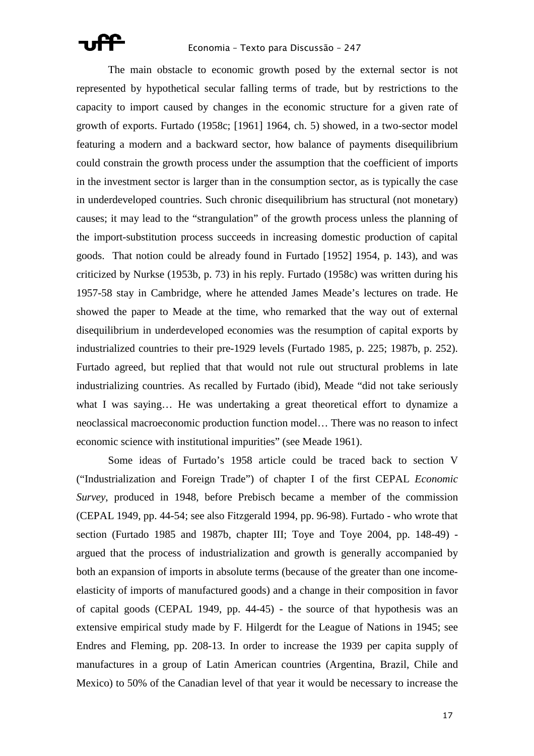The main obstacle to economic growth posed by the external sector is not represented by hypothetical secular falling terms of trade, but by restrictions to the capacity to import caused by changes in the economic structure for a given rate of growth of exports. Furtado (1958c; [1961] 1964, ch. 5) showed, in a two-sector model featuring a modern and a backward sector, how balance of payments disequilibrium could constrain the growth process under the assumption that the coefficient of imports in the investment sector is larger than in the consumption sector, as is typically the case in underdeveloped countries. Such chronic disequilibrium has structural (not monetary) causes; it may lead to the "strangulation" of the growth process unless the planning of the import-substitution process succeeds in increasing domestic production of capital goods. That notion could be already found in Furtado [1952] 1954, p. 143), and was criticized by Nurkse (1953b, p. 73) in his reply. Furtado (1958c) was written during his 1957-58 stay in Cambridge, where he attended James Meade's lectures on trade. He showed the paper to Meade at the time, who remarked that the way out of external disequilibrium in underdeveloped economies was the resumption of capital exports by industrialized countries to their pre-1929 levels (Furtado 1985, p. 225; 1987b, p. 252). Furtado agreed, but replied that that would not rule out structural problems in late industrializing countries. As recalled by Furtado (ibid), Meade "did not take seriously what I was saying… He was undertaking a great theoretical effort to dynamize a neoclassical macroeconomic production function model… There was no reason to infect economic science with institutional impurities" (see Meade 1961).

 Some ideas of Furtado's 1958 article could be traced back to section V ("Industrialization and Foreign Trade") of chapter I of the first CEPAL *Economic Survey*, produced in 1948, before Prebisch became a member of the commission (CEPAL 1949, pp. 44-54; see also Fitzgerald 1994, pp. 96-98). Furtado - who wrote that section (Furtado 1985 and 1987b, chapter III; Toye and Toye 2004, pp. 148-49) argued that the process of industrialization and growth is generally accompanied by both an expansion of imports in absolute terms (because of the greater than one incomeelasticity of imports of manufactured goods) and a change in their composition in favor of capital goods (CEPAL 1949, pp. 44-45) - the source of that hypothesis was an extensive empirical study made by F. Hilgerdt for the League of Nations in 1945; see Endres and Fleming, pp. 208-13. In order to increase the 1939 per capita supply of manufactures in a group of Latin American countries (Argentina, Brazil, Chile and Mexico) to 50% of the Canadian level of that year it would be necessary to increase the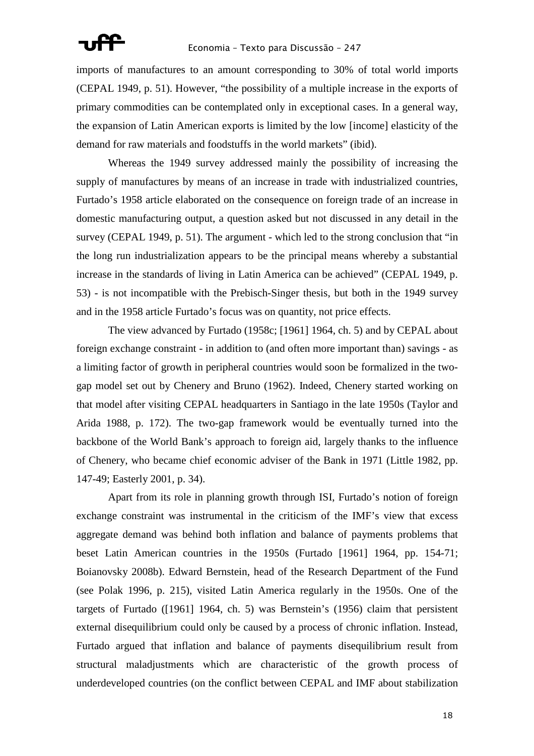imports of manufactures to an amount corresponding to 30% of total world imports (CEPAL 1949, p. 51). However, "the possibility of a multiple increase in the exports of primary commodities can be contemplated only in exceptional cases. In a general way, the expansion of Latin American exports is limited by the low [income] elasticity of the demand for raw materials and foodstuffs in the world markets" (ibid).

 Whereas the 1949 survey addressed mainly the possibility of increasing the supply of manufactures by means of an increase in trade with industrialized countries, Furtado's 1958 article elaborated on the consequence on foreign trade of an increase in domestic manufacturing output, a question asked but not discussed in any detail in the survey (CEPAL 1949, p. 51). The argument - which led to the strong conclusion that "in the long run industrialization appears to be the principal means whereby a substantial increase in the standards of living in Latin America can be achieved" (CEPAL 1949, p. 53) - is not incompatible with the Prebisch-Singer thesis, but both in the 1949 survey and in the 1958 article Furtado's focus was on quantity, not price effects.

 The view advanced by Furtado (1958c; [1961] 1964, ch. 5) and by CEPAL about foreign exchange constraint - in addition to (and often more important than) savings - as a limiting factor of growth in peripheral countries would soon be formalized in the twogap model set out by Chenery and Bruno (1962). Indeed, Chenery started working on that model after visiting CEPAL headquarters in Santiago in the late 1950s (Taylor and Arida 1988, p. 172). The two-gap framework would be eventually turned into the backbone of the World Bank's approach to foreign aid, largely thanks to the influence of Chenery, who became chief economic adviser of the Bank in 1971 (Little 1982, pp. 147-49; Easterly 2001, p. 34).

 Apart from its role in planning growth through ISI, Furtado's notion of foreign exchange constraint was instrumental in the criticism of the IMF's view that excess aggregate demand was behind both inflation and balance of payments problems that beset Latin American countries in the 1950s (Furtado [1961] 1964, pp. 154-71; Boianovsky 2008b). Edward Bernstein, head of the Research Department of the Fund (see Polak 1996, p. 215), visited Latin America regularly in the 1950s. One of the targets of Furtado ([1961] 1964, ch. 5) was Bernstein's (1956) claim that persistent external disequilibrium could only be caused by a process of chronic inflation. Instead, Furtado argued that inflation and balance of payments disequilibrium result from structural maladjustments which are characteristic of the growth process of underdeveloped countries (on the conflict between CEPAL and IMF about stabilization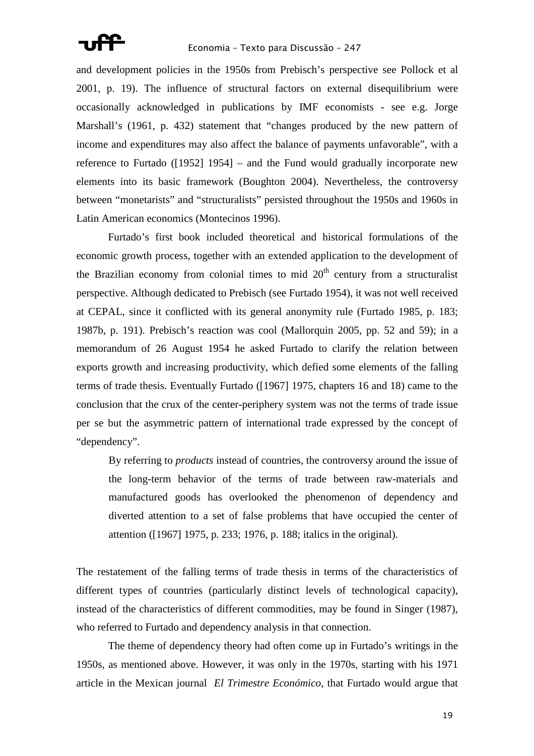

and development policies in the 1950s from Prebisch's perspective see Pollock et al 2001, p. 19). The influence of structural factors on external disequilibrium were occasionally acknowledged in publications by IMF economists - see e.g. Jorge Marshall's (1961, p. 432) statement that "changes produced by the new pattern of income and expenditures may also affect the balance of payments unfavorable", with a reference to Furtado ([1952] 1954] – and the Fund would gradually incorporate new elements into its basic framework (Boughton 2004). Nevertheless, the controversy between "monetarists" and "structuralists" persisted throughout the 1950s and 1960s in Latin American economics (Montecinos 1996).

 Furtado's first book included theoretical and historical formulations of the economic growth process, together with an extended application to the development of the Brazilian economy from colonial times to mid  $20<sup>th</sup>$  century from a structuralist perspective. Although dedicated to Prebisch (see Furtado 1954), it was not well received at CEPAL, since it conflicted with its general anonymity rule (Furtado 1985, p. 183; 1987b, p. 191). Prebisch's reaction was cool (Mallorquin 2005, pp. 52 and 59); in a memorandum of 26 August 1954 he asked Furtado to clarify the relation between exports growth and increasing productivity, which defied some elements of the falling terms of trade thesis. Eventually Furtado ([1967] 1975, chapters 16 and 18) came to the conclusion that the crux of the center-periphery system was not the terms of trade issue per se but the asymmetric pattern of international trade expressed by the concept of "dependency".

By referring to *products* instead of countries, the controversy around the issue of the long-term behavior of the terms of trade between raw-materials and manufactured goods has overlooked the phenomenon of dependency and diverted attention to a set of false problems that have occupied the center of attention ([1967] 1975, p. 233; 1976, p. 188; italics in the original).

The restatement of the falling terms of trade thesis in terms of the characteristics of different types of countries (particularly distinct levels of technological capacity), instead of the characteristics of different commodities, may be found in Singer (1987), who referred to Furtado and dependency analysis in that connection.

 The theme of dependency theory had often come up in Furtado's writings in the 1950s, as mentioned above. However, it was only in the 1970s, starting with his 1971 article in the Mexican journal *El Trimestre Económico*, that Furtado would argue that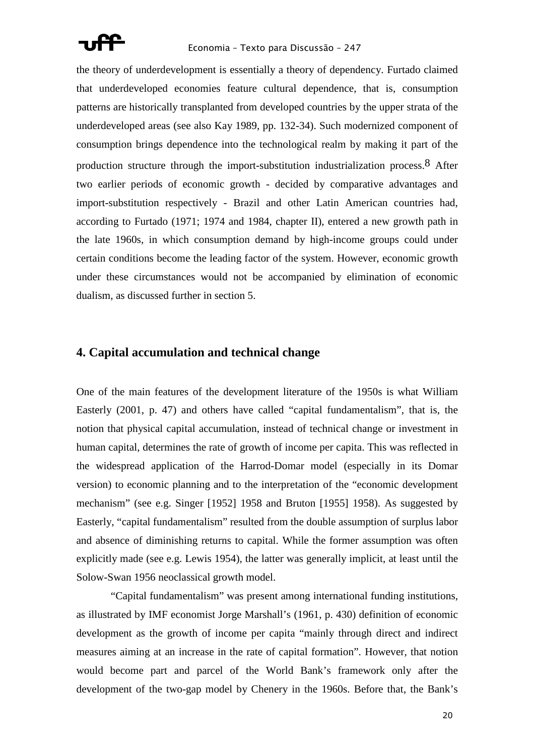

the theory of underdevelopment is essentially a theory of dependency. Furtado claimed that underdeveloped economies feature cultural dependence, that is, consumption patterns are historically transplanted from developed countries by the upper strata of the underdeveloped areas (see also Kay 1989, pp. 132-34). Such modernized component of consumption brings dependence into the technological realm by making it part of the production structure through the import-substitution industrialization process.8 After two earlier periods of economic growth - decided by comparative advantages and import-substitution respectively - Brazil and other Latin American countries had, according to Furtado (1971; 1974 and 1984, chapter II), entered a new growth path in the late 1960s, in which consumption demand by high-income groups could under certain conditions become the leading factor of the system. However, economic growth under these circumstances would not be accompanied by elimination of economic dualism, as discussed further in section 5.

### **4. Capital accumulation and technical change**

One of the main features of the development literature of the 1950s is what William Easterly (2001, p. 47) and others have called "capital fundamentalism", that is, the notion that physical capital accumulation, instead of technical change or investment in human capital, determines the rate of growth of income per capita. This was reflected in the widespread application of the Harrod-Domar model (especially in its Domar version) to economic planning and to the interpretation of the "economic development mechanism" (see e.g. Singer [1952] 1958 and Bruton [1955] 1958). As suggested by Easterly, "capital fundamentalism" resulted from the double assumption of surplus labor and absence of diminishing returns to capital. While the former assumption was often explicitly made (see e.g. Lewis 1954), the latter was generally implicit, at least until the Solow-Swan 1956 neoclassical growth model.

 "Capital fundamentalism" was present among international funding institutions, as illustrated by IMF economist Jorge Marshall's (1961, p. 430) definition of economic development as the growth of income per capita "mainly through direct and indirect measures aiming at an increase in the rate of capital formation". However, that notion would become part and parcel of the World Bank's framework only after the development of the two-gap model by Chenery in the 1960s. Before that, the Bank's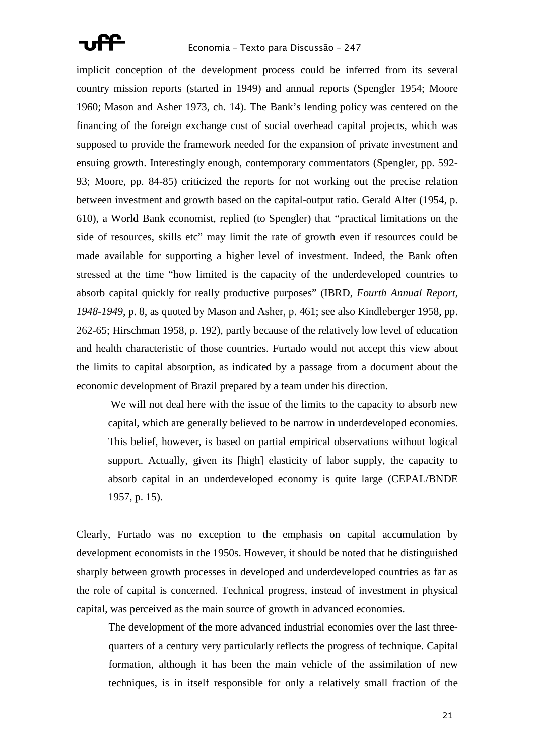

implicit conception of the development process could be inferred from its several country mission reports (started in 1949) and annual reports (Spengler 1954; Moore 1960; Mason and Asher 1973, ch. 14). The Bank's lending policy was centered on the financing of the foreign exchange cost of social overhead capital projects, which was supposed to provide the framework needed for the expansion of private investment and ensuing growth. Interestingly enough, contemporary commentators (Spengler, pp. 592- 93; Moore, pp. 84-85) criticized the reports for not working out the precise relation between investment and growth based on the capital-output ratio. Gerald Alter (1954, p. 610), a World Bank economist, replied (to Spengler) that "practical limitations on the side of resources, skills etc" may limit the rate of growth even if resources could be made available for supporting a higher level of investment. Indeed, the Bank often stressed at the time "how limited is the capacity of the underdeveloped countries to absorb capital quickly for really productive purposes" (IBRD, *Fourth Annual Report, 1948-1949*, p. 8, as quoted by Mason and Asher, p. 461; see also Kindleberger 1958, pp. 262-65; Hirschman 1958, p. 192), partly because of the relatively low level of education and health characteristic of those countries. Furtado would not accept this view about the limits to capital absorption, as indicated by a passage from a document about the economic development of Brazil prepared by a team under his direction.

 We will not deal here with the issue of the limits to the capacity to absorb new capital, which are generally believed to be narrow in underdeveloped economies. This belief, however, is based on partial empirical observations without logical support. Actually, given its [high] elasticity of labor supply, the capacity to absorb capital in an underdeveloped economy is quite large (CEPAL/BNDE 1957, p. 15).

Clearly, Furtado was no exception to the emphasis on capital accumulation by development economists in the 1950s. However, it should be noted that he distinguished sharply between growth processes in developed and underdeveloped countries as far as the role of capital is concerned. Technical progress, instead of investment in physical capital, was perceived as the main source of growth in advanced economies.

The development of the more advanced industrial economies over the last threequarters of a century very particularly reflects the progress of technique. Capital formation, although it has been the main vehicle of the assimilation of new techniques, is in itself responsible for only a relatively small fraction of the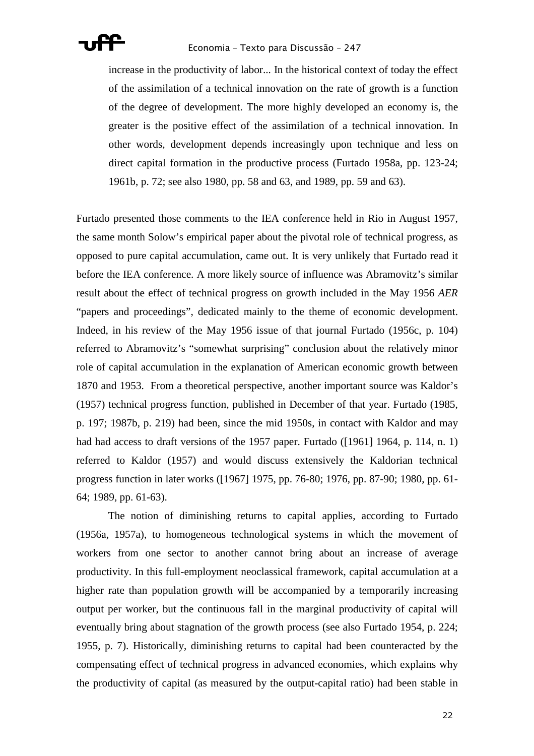

increase in the productivity of labor... In the historical context of today the effect of the assimilation of a technical innovation on the rate of growth is a function of the degree of development. The more highly developed an economy is, the greater is the positive effect of the assimilation of a technical innovation. In other words, development depends increasingly upon technique and less on direct capital formation in the productive process (Furtado 1958a, pp. 123-24; 1961b, p. 72; see also 1980, pp. 58 and 63, and 1989, pp. 59 and 63).

Furtado presented those comments to the IEA conference held in Rio in August 1957, the same month Solow's empirical paper about the pivotal role of technical progress, as opposed to pure capital accumulation, came out. It is very unlikely that Furtado read it before the IEA conference. A more likely source of influence was Abramovitz's similar result about the effect of technical progress on growth included in the May 1956 *AER* "papers and proceedings", dedicated mainly to the theme of economic development. Indeed, in his review of the May 1956 issue of that journal Furtado (1956c, p. 104) referred to Abramovitz's "somewhat surprising" conclusion about the relatively minor role of capital accumulation in the explanation of American economic growth between 1870 and 1953. From a theoretical perspective, another important source was Kaldor's (1957) technical progress function, published in December of that year. Furtado (1985, p. 197; 1987b, p. 219) had been, since the mid 1950s, in contact with Kaldor and may had had access to draft versions of the 1957 paper. Furtado ([1961] 1964, p. 114, n. 1) referred to Kaldor (1957) and would discuss extensively the Kaldorian technical progress function in later works ([1967] 1975, pp. 76-80; 1976, pp. 87-90; 1980, pp. 61- 64; 1989, pp. 61-63).

 The notion of diminishing returns to capital applies, according to Furtado (1956a, 1957a), to homogeneous technological systems in which the movement of workers from one sector to another cannot bring about an increase of average productivity. In this full-employment neoclassical framework, capital accumulation at a higher rate than population growth will be accompanied by a temporarily increasing output per worker, but the continuous fall in the marginal productivity of capital will eventually bring about stagnation of the growth process (see also Furtado 1954, p. 224; 1955, p. 7). Historically, diminishing returns to capital had been counteracted by the compensating effect of technical progress in advanced economies, which explains why the productivity of capital (as measured by the output-capital ratio) had been stable in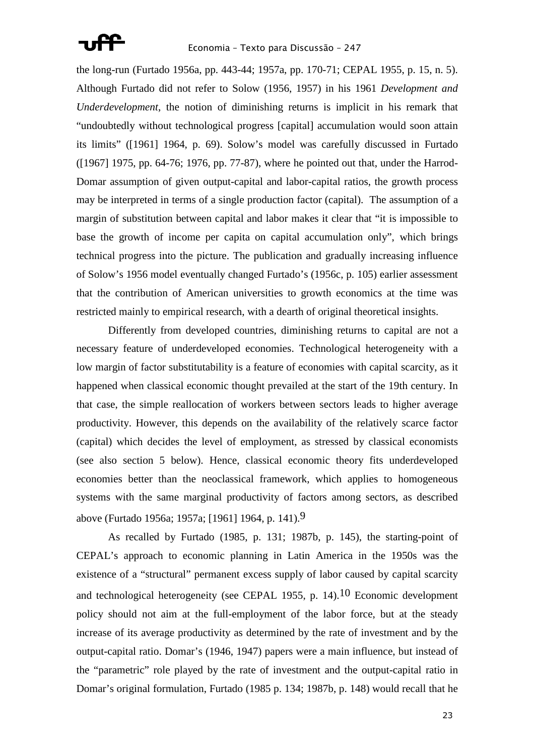

the long-run (Furtado 1956a, pp. 443-44; 1957a, pp. 170-71; CEPAL 1955, p. 15, n. 5). Although Furtado did not refer to Solow (1956, 1957) in his 1961 *Development and Underdevelopment*, the notion of diminishing returns is implicit in his remark that "undoubtedly without technological progress [capital] accumulation would soon attain its limits" ([1961] 1964, p. 69). Solow's model was carefully discussed in Furtado ([1967] 1975, pp. 64-76; 1976, pp. 77-87), where he pointed out that, under the Harrod-Domar assumption of given output-capital and labor-capital ratios, the growth process may be interpreted in terms of a single production factor (capital). The assumption of a margin of substitution between capital and labor makes it clear that "it is impossible to base the growth of income per capita on capital accumulation only", which brings technical progress into the picture. The publication and gradually increasing influence of Solow's 1956 model eventually changed Furtado's (1956c, p. 105) earlier assessment that the contribution of American universities to growth economics at the time was restricted mainly to empirical research, with a dearth of original theoretical insights.

 Differently from developed countries, diminishing returns to capital are not a necessary feature of underdeveloped economies. Technological heterogeneity with a low margin of factor substitutability is a feature of economies with capital scarcity, as it happened when classical economic thought prevailed at the start of the 19th century. In that case, the simple reallocation of workers between sectors leads to higher average productivity. However, this depends on the availability of the relatively scarce factor (capital) which decides the level of employment, as stressed by classical economists (see also section 5 below). Hence, classical economic theory fits underdeveloped economies better than the neoclassical framework, which applies to homogeneous systems with the same marginal productivity of factors among sectors, as described above (Furtado 1956a; 1957a; [1961] 1964, p. 141).<sup>9</sup>

 As recalled by Furtado (1985, p. 131; 1987b, p. 145), the starting-point of CEPAL's approach to economic planning in Latin America in the 1950s was the existence of a "structural" permanent excess supply of labor caused by capital scarcity and technological heterogeneity (see CEPAL 1955, p. 14).<sup>10</sup> Economic development policy should not aim at the full-employment of the labor force, but at the steady increase of its average productivity as determined by the rate of investment and by the output-capital ratio. Domar's (1946, 1947) papers were a main influence, but instead of the "parametric" role played by the rate of investment and the output-capital ratio in Domar's original formulation, Furtado (1985 p. 134; 1987b, p. 148) would recall that he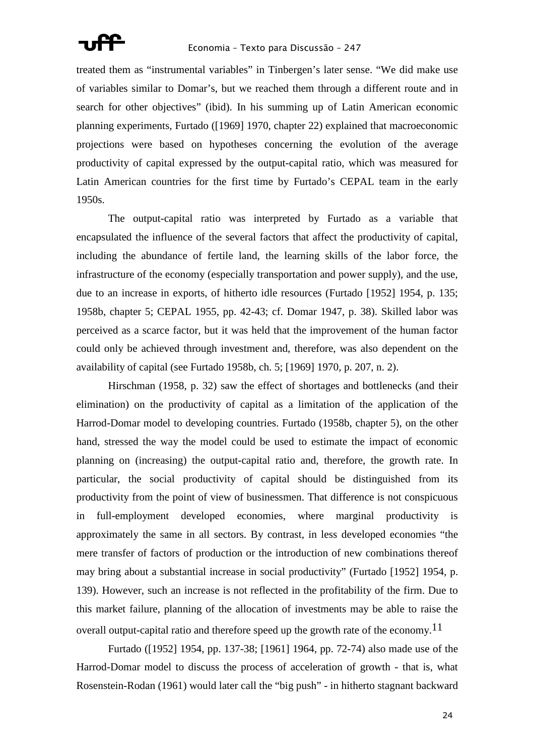

treated them as "instrumental variables" in Tinbergen's later sense. "We did make use of variables similar to Domar's, but we reached them through a different route and in search for other objectives" (ibid). In his summing up of Latin American economic planning experiments, Furtado ([1969] 1970, chapter 22) explained that macroeconomic projections were based on hypotheses concerning the evolution of the average productivity of capital expressed by the output-capital ratio, which was measured for Latin American countries for the first time by Furtado's CEPAL team in the early 1950s.

 The output-capital ratio was interpreted by Furtado as a variable that encapsulated the influence of the several factors that affect the productivity of capital, including the abundance of fertile land, the learning skills of the labor force, the infrastructure of the economy (especially transportation and power supply), and the use, due to an increase in exports, of hitherto idle resources (Furtado [1952] 1954, p. 135; 1958b, chapter 5; CEPAL 1955, pp. 42-43; cf. Domar 1947, p. 38). Skilled labor was perceived as a scarce factor, but it was held that the improvement of the human factor could only be achieved through investment and, therefore, was also dependent on the availability of capital (see Furtado 1958b, ch. 5; [1969] 1970, p. 207, n. 2).

 Hirschman (1958, p. 32) saw the effect of shortages and bottlenecks (and their elimination) on the productivity of capital as a limitation of the application of the Harrod-Domar model to developing countries. Furtado (1958b, chapter 5), on the other hand, stressed the way the model could be used to estimate the impact of economic planning on (increasing) the output-capital ratio and, therefore, the growth rate. In particular, the social productivity of capital should be distinguished from its productivity from the point of view of businessmen. That difference is not conspicuous in full-employment developed economies, where marginal productivity is approximately the same in all sectors. By contrast, in less developed economies "the mere transfer of factors of production or the introduction of new combinations thereof may bring about a substantial increase in social productivity" (Furtado [1952] 1954, p. 139). However, such an increase is not reflected in the profitability of the firm. Due to this market failure, planning of the allocation of investments may be able to raise the overall output-capital ratio and therefore speed up the growth rate of the economy.<sup>11</sup>

 Furtado ([1952] 1954, pp. 137-38; [1961] 1964, pp. 72-74) also made use of the Harrod-Domar model to discuss the process of acceleration of growth - that is, what Rosenstein-Rodan (1961) would later call the "big push" - in hitherto stagnant backward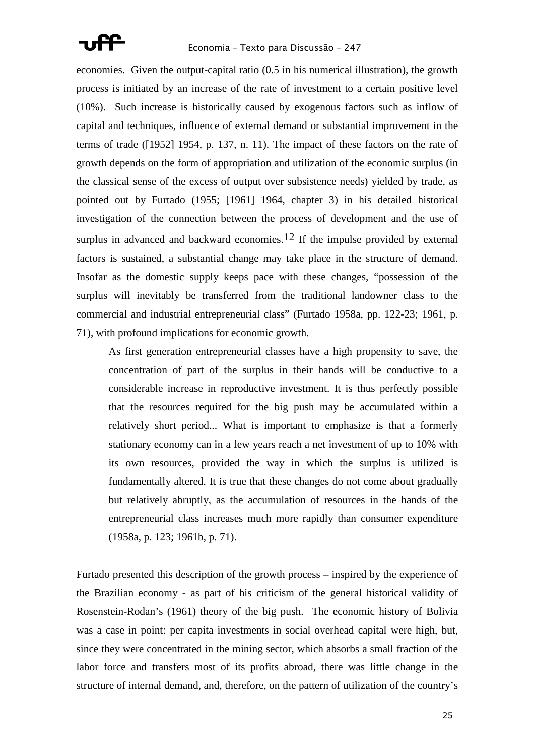

economies. Given the output-capital ratio (0.5 in his numerical illustration), the growth process is initiated by an increase of the rate of investment to a certain positive level (10%). Such increase is historically caused by exogenous factors such as inflow of capital and techniques, influence of external demand or substantial improvement in the terms of trade ([1952] 1954, p. 137, n. 11). The impact of these factors on the rate of growth depends on the form of appropriation and utilization of the economic surplus (in the classical sense of the excess of output over subsistence needs) yielded by trade, as pointed out by Furtado (1955; [1961] 1964, chapter 3) in his detailed historical investigation of the connection between the process of development and the use of surplus in advanced and backward economies.<sup>12</sup> If the impulse provided by external factors is sustained, a substantial change may take place in the structure of demand. Insofar as the domestic supply keeps pace with these changes, "possession of the surplus will inevitably be transferred from the traditional landowner class to the commercial and industrial entrepreneurial class" (Furtado 1958a, pp. 122-23; 1961, p. 71), with profound implications for economic growth.

As first generation entrepreneurial classes have a high propensity to save, the concentration of part of the surplus in their hands will be conductive to a considerable increase in reproductive investment. It is thus perfectly possible that the resources required for the big push may be accumulated within a relatively short period... What is important to emphasize is that a formerly stationary economy can in a few years reach a net investment of up to 10% with its own resources, provided the way in which the surplus is utilized is fundamentally altered. It is true that these changes do not come about gradually but relatively abruptly, as the accumulation of resources in the hands of the entrepreneurial class increases much more rapidly than consumer expenditure (1958a, p. 123; 1961b, p. 71).

Furtado presented this description of the growth process – inspired by the experience of the Brazilian economy - as part of his criticism of the general historical validity of Rosenstein-Rodan's (1961) theory of the big push. The economic history of Bolivia was a case in point: per capita investments in social overhead capital were high, but, since they were concentrated in the mining sector, which absorbs a small fraction of the labor force and transfers most of its profits abroad, there was little change in the structure of internal demand, and, therefore, on the pattern of utilization of the country's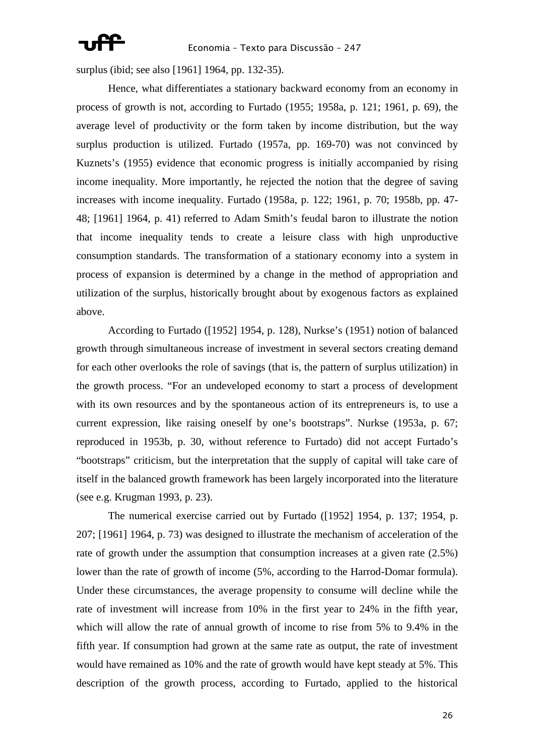surplus (ibid; see also [1961] 1964, pp. 132-35).

 Hence, what differentiates a stationary backward economy from an economy in process of growth is not, according to Furtado (1955; 1958a, p. 121; 1961, p. 69), the average level of productivity or the form taken by income distribution, but the way surplus production is utilized. Furtado (1957a, pp. 169-70) was not convinced by Kuznets's (1955) evidence that economic progress is initially accompanied by rising income inequality. More importantly, he rejected the notion that the degree of saving increases with income inequality. Furtado (1958a, p. 122; 1961, p. 70; 1958b, pp. 47- 48; [1961] 1964, p. 41) referred to Adam Smith's feudal baron to illustrate the notion that income inequality tends to create a leisure class with high unproductive consumption standards. The transformation of a stationary economy into a system in process of expansion is determined by a change in the method of appropriation and utilization of the surplus, historically brought about by exogenous factors as explained above.

 According to Furtado ([1952] 1954, p. 128), Nurkse's (1951) notion of balanced growth through simultaneous increase of investment in several sectors creating demand for each other overlooks the role of savings (that is, the pattern of surplus utilization) in the growth process. "For an undeveloped economy to start a process of development with its own resources and by the spontaneous action of its entrepreneurs is, to use a current expression, like raising oneself by one's bootstraps". Nurkse (1953a, p. 67; reproduced in 1953b, p. 30, without reference to Furtado) did not accept Furtado's "bootstraps" criticism, but the interpretation that the supply of capital will take care of itself in the balanced growth framework has been largely incorporated into the literature (see e.g. Krugman 1993, p. 23).

 The numerical exercise carried out by Furtado ([1952] 1954, p. 137; 1954, p. 207; [1961] 1964, p. 73) was designed to illustrate the mechanism of acceleration of the rate of growth under the assumption that consumption increases at a given rate (2.5%) lower than the rate of growth of income (5%, according to the Harrod-Domar formula). Under these circumstances, the average propensity to consume will decline while the rate of investment will increase from 10% in the first year to 24% in the fifth year, which will allow the rate of annual growth of income to rise from 5% to 9.4% in the fifth year. If consumption had grown at the same rate as output, the rate of investment would have remained as 10% and the rate of growth would have kept steady at 5%. This description of the growth process, according to Furtado, applied to the historical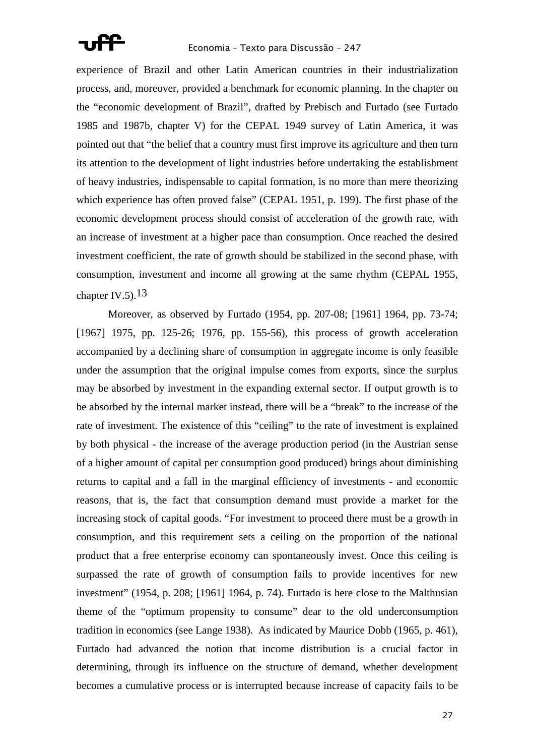

experience of Brazil and other Latin American countries in their industrialization process, and, moreover, provided a benchmark for economic planning. In the chapter on the "economic development of Brazil", drafted by Prebisch and Furtado (see Furtado 1985 and 1987b, chapter V) for the CEPAL 1949 survey of Latin America, it was pointed out that "the belief that a country must first improve its agriculture and then turn its attention to the development of light industries before undertaking the establishment of heavy industries, indispensable to capital formation, is no more than mere theorizing which experience has often proved false" (CEPAL 1951, p. 199). The first phase of the economic development process should consist of acceleration of the growth rate, with an increase of investment at a higher pace than consumption. Once reached the desired investment coefficient, the rate of growth should be stabilized in the second phase, with consumption, investment and income all growing at the same rhythm (CEPAL 1955, chapter  $IV_{.5}$ ,  $13$ 

 Moreover, as observed by Furtado (1954, pp. 207-08; [1961] 1964, pp. 73-74; [1967] 1975, pp. 125-26; 1976, pp. 155-56), this process of growth acceleration accompanied by a declining share of consumption in aggregate income is only feasible under the assumption that the original impulse comes from exports, since the surplus may be absorbed by investment in the expanding external sector. If output growth is to be absorbed by the internal market instead, there will be a "break" to the increase of the rate of investment. The existence of this "ceiling" to the rate of investment is explained by both physical - the increase of the average production period (in the Austrian sense of a higher amount of capital per consumption good produced) brings about diminishing returns to capital and a fall in the marginal efficiency of investments - and economic reasons, that is, the fact that consumption demand must provide a market for the increasing stock of capital goods. "For investment to proceed there must be a growth in consumption, and this requirement sets a ceiling on the proportion of the national product that a free enterprise economy can spontaneously invest. Once this ceiling is surpassed the rate of growth of consumption fails to provide incentives for new investment" (1954, p. 208; [1961] 1964, p. 74). Furtado is here close to the Malthusian theme of the "optimum propensity to consume" dear to the old underconsumption tradition in economics (see Lange 1938). As indicated by Maurice Dobb (1965, p. 461), Furtado had advanced the notion that income distribution is a crucial factor in determining, through its influence on the structure of demand, whether development becomes a cumulative process or is interrupted because increase of capacity fails to be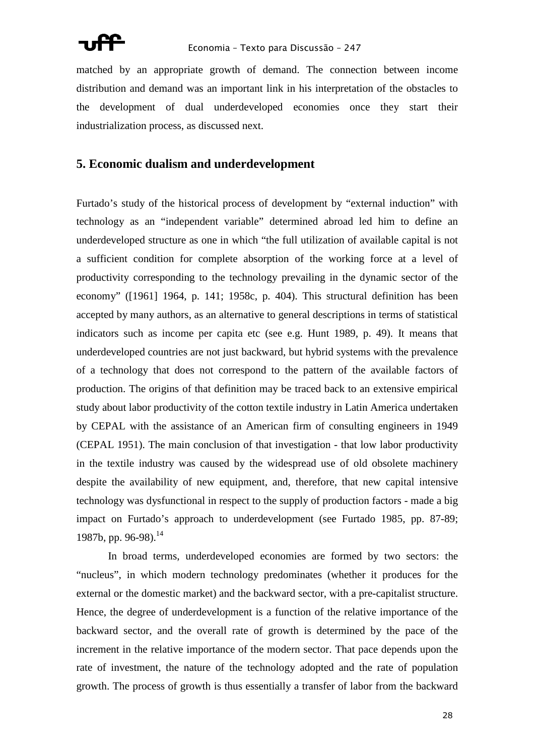

matched by an appropriate growth of demand. The connection between income distribution and demand was an important link in his interpretation of the obstacles to the development of dual underdeveloped economies once they start their industrialization process, as discussed next.

### **5. Economic dualism and underdevelopment**

Furtado's study of the historical process of development by "external induction" with technology as an "independent variable" determined abroad led him to define an underdeveloped structure as one in which "the full utilization of available capital is not a sufficient condition for complete absorption of the working force at a level of productivity corresponding to the technology prevailing in the dynamic sector of the economy" ([1961] 1964, p. 141; 1958c, p. 404). This structural definition has been accepted by many authors, as an alternative to general descriptions in terms of statistical indicators such as income per capita etc (see e.g. Hunt 1989, p. 49). It means that underdeveloped countries are not just backward, but hybrid systems with the prevalence of a technology that does not correspond to the pattern of the available factors of production. The origins of that definition may be traced back to an extensive empirical study about labor productivity of the cotton textile industry in Latin America undertaken by CEPAL with the assistance of an American firm of consulting engineers in 1949 (CEPAL 1951). The main conclusion of that investigation - that low labor productivity in the textile industry was caused by the widespread use of old obsolete machinery despite the availability of new equipment, and, therefore, that new capital intensive technology was dysfunctional in respect to the supply of production factors - made a big impact on Furtado's approach to underdevelopment (see Furtado 1985, pp. 87-89; 1987b, pp. 96-98).<sup>14</sup>

 In broad terms, underdeveloped economies are formed by two sectors: the "nucleus", in which modern technology predominates (whether it produces for the external or the domestic market) and the backward sector, with a pre-capitalist structure. Hence, the degree of underdevelopment is a function of the relative importance of the backward sector, and the overall rate of growth is determined by the pace of the increment in the relative importance of the modern sector. That pace depends upon the rate of investment, the nature of the technology adopted and the rate of population growth. The process of growth is thus essentially a transfer of labor from the backward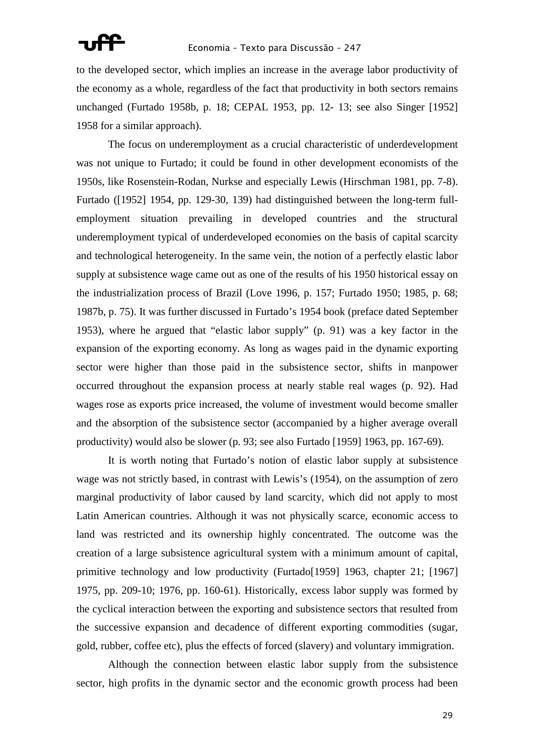to the developed sector, which implies an increase in the average labor productivity of the economy as a whole, regardless of the fact that productivity in both sectors remains unchanged (Furtado 1958b, p. 18; CEPAL 1953, pp. 12- 13; see also Singer [1952] 1958 for a similar approach).

 The focus on underemployment as a crucial characteristic of underdevelopment was not unique to Furtado; it could be found in other development economists of the 1950s, like Rosenstein-Rodan, Nurkse and especially Lewis (Hirschman 1981, pp. 7-8). Furtado ([1952] 1954, pp. 129-30, 139) had distinguished between the long-term fullemployment situation prevailing in developed countries and the structural underemployment typical of underdeveloped economies on the basis of capital scarcity and technological heterogeneity. In the same vein, the notion of a perfectly elastic labor supply at subsistence wage came out as one of the results of his 1950 historical essay on the industrialization process of Brazil (Love 1996, p. 157; Furtado 1950; 1985, p. 68; 1987b, p. 75). It was further discussed in Furtado's 1954 book (preface dated September 1953), where he argued that "elastic labor supply" (p. 91) was a key factor in the expansion of the exporting economy. As long as wages paid in the dynamic exporting sector were higher than those paid in the subsistence sector, shifts in manpower occurred throughout the expansion process at nearly stable real wages (p. 92). Had wages rose as exports price increased, the volume of investment would become smaller and the absorption of the subsistence sector (accompanied by a higher average overall productivity) would also be slower (p. 93; see also Furtado [1959] 1963, pp. 167-69).

 It is worth noting that Furtado's notion of elastic labor supply at subsistence wage was not strictly based, in contrast with Lewis's (1954), on the assumption of zero marginal productivity of labor caused by land scarcity, which did not apply to most Latin American countries. Although it was not physically scarce, economic access to land was restricted and its ownership highly concentrated. The outcome was the creation of a large subsistence agricultural system with a minimum amount of capital, primitive technology and low productivity (Furtado[1959] 1963, chapter 21; [1967] 1975, pp. 209-10; 1976, pp. 160-61). Historically, excess labor supply was formed by the cyclical interaction between the exporting and subsistence sectors that resulted from the successive expansion and decadence of different exporting commodities (sugar, gold, rubber, coffee etc), plus the effects of forced (slavery) and voluntary immigration.

 Although the connection between elastic labor supply from the subsistence sector, high profits in the dynamic sector and the economic growth process had been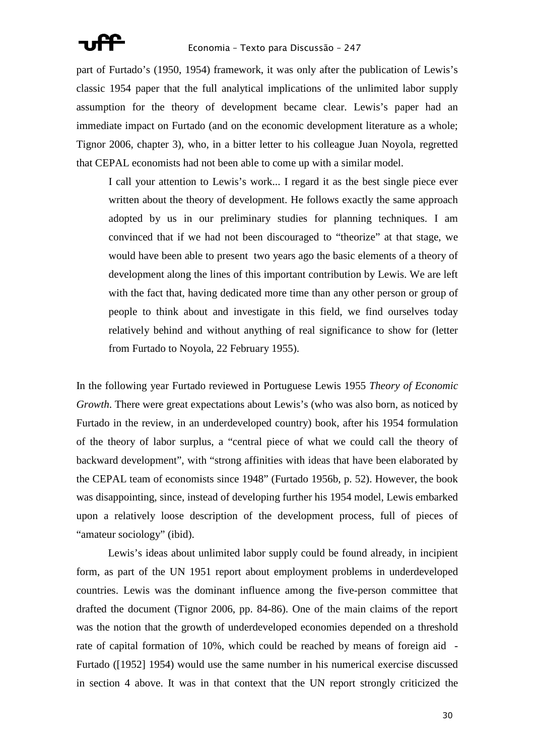

part of Furtado's (1950, 1954) framework, it was only after the publication of Lewis's classic 1954 paper that the full analytical implications of the unlimited labor supply assumption for the theory of development became clear. Lewis's paper had an immediate impact on Furtado (and on the economic development literature as a whole; Tignor 2006, chapter 3), who, in a bitter letter to his colleague Juan Noyola, regretted that CEPAL economists had not been able to come up with a similar model.

I call your attention to Lewis's work... I regard it as the best single piece ever written about the theory of development. He follows exactly the same approach adopted by us in our preliminary studies for planning techniques. I am convinced that if we had not been discouraged to "theorize" at that stage, we would have been able to present two years ago the basic elements of a theory of development along the lines of this important contribution by Lewis. We are left with the fact that, having dedicated more time than any other person or group of people to think about and investigate in this field, we find ourselves today relatively behind and without anything of real significance to show for (letter from Furtado to Noyola, 22 February 1955).

In the following year Furtado reviewed in Portuguese Lewis 1955 *Theory of Economic Growth*. There were great expectations about Lewis's (who was also born, as noticed by Furtado in the review, in an underdeveloped country) book, after his 1954 formulation of the theory of labor surplus, a "central piece of what we could call the theory of backward development", with "strong affinities with ideas that have been elaborated by the CEPAL team of economists since 1948" (Furtado 1956b, p. 52). However, the book was disappointing, since, instead of developing further his 1954 model, Lewis embarked upon a relatively loose description of the development process, full of pieces of "amateur sociology" (ibid).

 Lewis's ideas about unlimited labor supply could be found already, in incipient form, as part of the UN 1951 report about employment problems in underdeveloped countries. Lewis was the dominant influence among the five-person committee that drafted the document (Tignor 2006, pp. 84-86). One of the main claims of the report was the notion that the growth of underdeveloped economies depended on a threshold rate of capital formation of 10%, which could be reached by means of foreign aid - Furtado ([1952] 1954) would use the same number in his numerical exercise discussed in section 4 above. It was in that context that the UN report strongly criticized the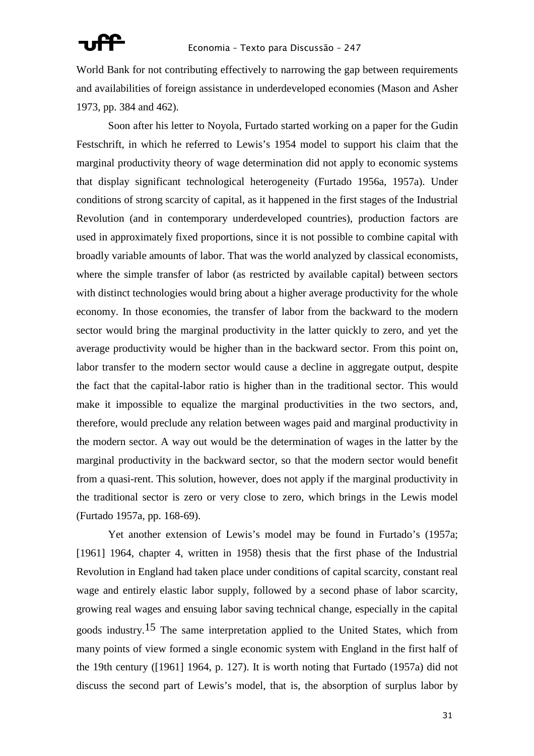World Bank for not contributing effectively to narrowing the gap between requirements and availabilities of foreign assistance in underdeveloped economies (Mason and Asher 1973, pp. 384 and 462).

 Soon after his letter to Noyola, Furtado started working on a paper for the Gudin Festschrift, in which he referred to Lewis's 1954 model to support his claim that the marginal productivity theory of wage determination did not apply to economic systems that display significant technological heterogeneity (Furtado 1956a, 1957a). Under conditions of strong scarcity of capital, as it happened in the first stages of the Industrial Revolution (and in contemporary underdeveloped countries), production factors are used in approximately fixed proportions, since it is not possible to combine capital with broadly variable amounts of labor. That was the world analyzed by classical economists, where the simple transfer of labor (as restricted by available capital) between sectors with distinct technologies would bring about a higher average productivity for the whole economy. In those economies, the transfer of labor from the backward to the modern sector would bring the marginal productivity in the latter quickly to zero, and yet the average productivity would be higher than in the backward sector. From this point on, labor transfer to the modern sector would cause a decline in aggregate output, despite the fact that the capital-labor ratio is higher than in the traditional sector. This would make it impossible to equalize the marginal productivities in the two sectors, and, therefore, would preclude any relation between wages paid and marginal productivity in the modern sector. A way out would be the determination of wages in the latter by the marginal productivity in the backward sector, so that the modern sector would benefit from a quasi-rent. This solution, however, does not apply if the marginal productivity in the traditional sector is zero or very close to zero, which brings in the Lewis model (Furtado 1957a, pp. 168-69).

 Yet another extension of Lewis's model may be found in Furtado's (1957a; [1961] 1964, chapter 4, written in 1958) thesis that the first phase of the Industrial Revolution in England had taken place under conditions of capital scarcity, constant real wage and entirely elastic labor supply, followed by a second phase of labor scarcity, growing real wages and ensuing labor saving technical change, especially in the capital goods industry.15 The same interpretation applied to the United States, which from many points of view formed a single economic system with England in the first half of the 19th century ([1961] 1964, p. 127). It is worth noting that Furtado (1957a) did not discuss the second part of Lewis's model, that is, the absorption of surplus labor by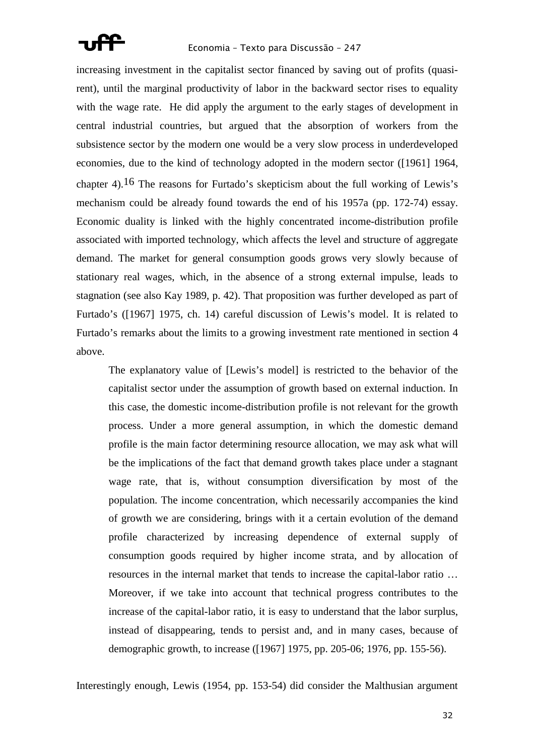

increasing investment in the capitalist sector financed by saving out of profits (quasirent), until the marginal productivity of labor in the backward sector rises to equality with the wage rate. He did apply the argument to the early stages of development in central industrial countries, but argued that the absorption of workers from the subsistence sector by the modern one would be a very slow process in underdeveloped economies, due to the kind of technology adopted in the modern sector ([1961] 1964, chapter 4).<sup>16</sup> The reasons for Furtado's skepticism about the full working of Lewis's mechanism could be already found towards the end of his 1957a (pp. 172-74) essay. Economic duality is linked with the highly concentrated income-distribution profile associated with imported technology, which affects the level and structure of aggregate demand. The market for general consumption goods grows very slowly because of stationary real wages, which, in the absence of a strong external impulse, leads to stagnation (see also Kay 1989, p. 42). That proposition was further developed as part of Furtado's ([1967] 1975, ch. 14) careful discussion of Lewis's model. It is related to Furtado's remarks about the limits to a growing investment rate mentioned in section 4 above.

The explanatory value of [Lewis's model] is restricted to the behavior of the capitalist sector under the assumption of growth based on external induction. In this case, the domestic income-distribution profile is not relevant for the growth process. Under a more general assumption, in which the domestic demand profile is the main factor determining resource allocation, we may ask what will be the implications of the fact that demand growth takes place under a stagnant wage rate, that is, without consumption diversification by most of the population. The income concentration, which necessarily accompanies the kind of growth we are considering, brings with it a certain evolution of the demand profile characterized by increasing dependence of external supply of consumption goods required by higher income strata, and by allocation of resources in the internal market that tends to increase the capital-labor ratio … Moreover, if we take into account that technical progress contributes to the increase of the capital-labor ratio, it is easy to understand that the labor surplus, instead of disappearing, tends to persist and, and in many cases, because of demographic growth, to increase ([1967] 1975, pp. 205-06; 1976, pp. 155-56).

Interestingly enough, Lewis (1954, pp. 153-54) did consider the Malthusian argument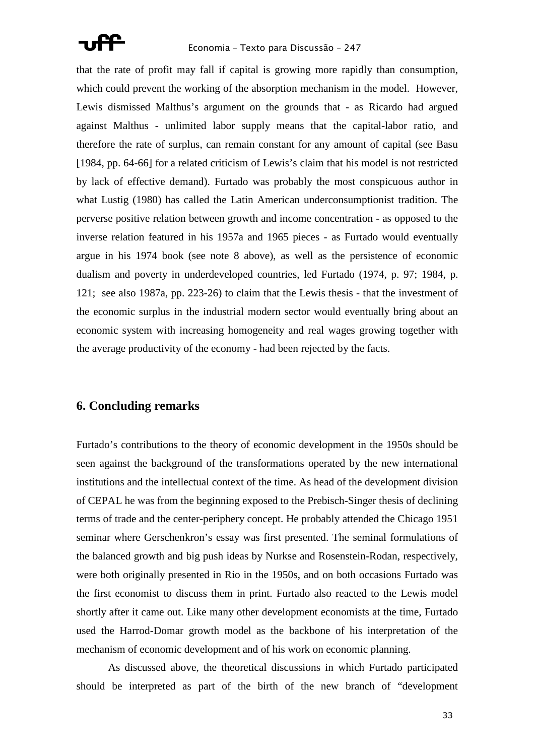

that the rate of profit may fall if capital is growing more rapidly than consumption, which could prevent the working of the absorption mechanism in the model. However, Lewis dismissed Malthus's argument on the grounds that - as Ricardo had argued against Malthus - unlimited labor supply means that the capital-labor ratio, and therefore the rate of surplus, can remain constant for any amount of capital (see Basu [1984, pp. 64-66] for a related criticism of Lewis's claim that his model is not restricted by lack of effective demand). Furtado was probably the most conspicuous author in what Lustig (1980) has called the Latin American underconsumptionist tradition. The perverse positive relation between growth and income concentration - as opposed to the inverse relation featured in his 1957a and 1965 pieces - as Furtado would eventually argue in his 1974 book (see note 8 above), as well as the persistence of economic dualism and poverty in underdeveloped countries, led Furtado (1974, p. 97; 1984, p. 121; see also 1987a, pp. 223-26) to claim that the Lewis thesis - that the investment of the economic surplus in the industrial modern sector would eventually bring about an economic system with increasing homogeneity and real wages growing together with the average productivity of the economy - had been rejected by the facts.

### **6. Concluding remarks**

Furtado's contributions to the theory of economic development in the 1950s should be seen against the background of the transformations operated by the new international institutions and the intellectual context of the time. As head of the development division of CEPAL he was from the beginning exposed to the Prebisch-Singer thesis of declining terms of trade and the center-periphery concept. He probably attended the Chicago 1951 seminar where Gerschenkron's essay was first presented. The seminal formulations of the balanced growth and big push ideas by Nurkse and Rosenstein-Rodan, respectively, were both originally presented in Rio in the 1950s, and on both occasions Furtado was the first economist to discuss them in print. Furtado also reacted to the Lewis model shortly after it came out. Like many other development economists at the time, Furtado used the Harrod-Domar growth model as the backbone of his interpretation of the mechanism of economic development and of his work on economic planning.

 As discussed above, the theoretical discussions in which Furtado participated should be interpreted as part of the birth of the new branch of "development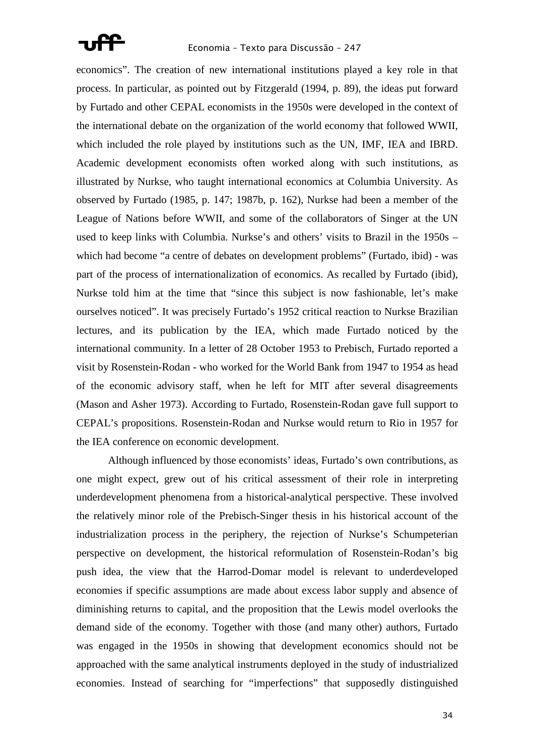

economics". The creation of new international institutions played a key role in that process. In particular, as pointed out by Fitzgerald (1994, p. 89), the ideas put forward by Furtado and other CEPAL economists in the 1950s were developed in the context of the international debate on the organization of the world economy that followed WWII, which included the role played by institutions such as the UN, IMF, IEA and IBRD. Academic development economists often worked along with such institutions, as illustrated by Nurkse, who taught international economics at Columbia University. As observed by Furtado (1985, p. 147; 1987b, p. 162), Nurkse had been a member of the League of Nations before WWII, and some of the collaborators of Singer at the UN used to keep links with Columbia. Nurkse's and others' visits to Brazil in the 1950s – which had become "a centre of debates on development problems" (Furtado, ibid) - was part of the process of internationalization of economics. As recalled by Furtado (ibid), Nurkse told him at the time that "since this subject is now fashionable, let's make ourselves noticed". It was precisely Furtado's 1952 critical reaction to Nurkse Brazilian lectures, and its publication by the IEA, which made Furtado noticed by the international community. In a letter of 28 October 1953 to Prebisch, Furtado reported a visit by Rosenstein-Rodan - who worked for the World Bank from 1947 to 1954 as head of the economic advisory staff, when he left for MIT after several disagreements (Mason and Asher 1973). According to Furtado, Rosenstein-Rodan gave full support to CEPAL's propositions. Rosenstein-Rodan and Nurkse would return to Rio in 1957 for the IEA conference on economic development.

 Although influenced by those economists' ideas, Furtado's own contributions, as one might expect, grew out of his critical assessment of their role in interpreting underdevelopment phenomena from a historical-analytical perspective. These involved the relatively minor role of the Prebisch-Singer thesis in his historical account of the industrialization process in the periphery, the rejection of Nurkse's Schumpeterian perspective on development, the historical reformulation of Rosenstein-Rodan's big push idea, the view that the Harrod-Domar model is relevant to underdeveloped economies if specific assumptions are made about excess labor supply and absence of diminishing returns to capital, and the proposition that the Lewis model overlooks the demand side of the economy. Together with those (and many other) authors, Furtado was engaged in the 1950s in showing that development economics should not be approached with the same analytical instruments deployed in the study of industrialized economies. Instead of searching for "imperfections" that supposedly distinguished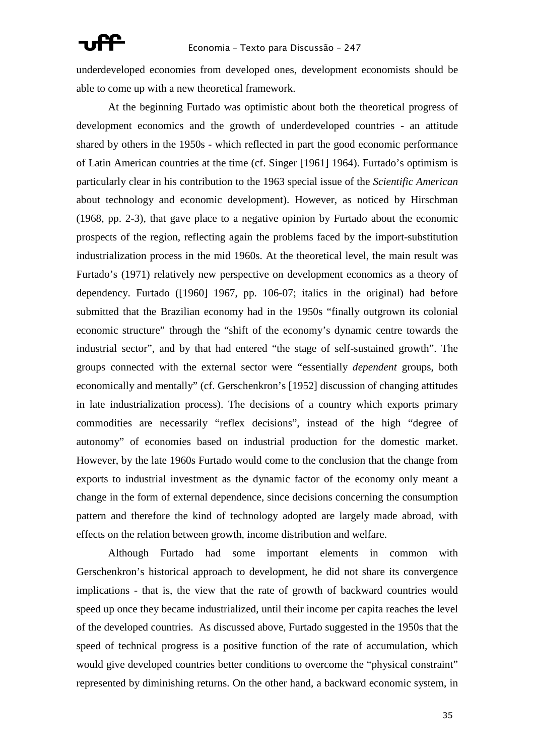underdeveloped economies from developed ones, development economists should be able to come up with a new theoretical framework.

 At the beginning Furtado was optimistic about both the theoretical progress of development economics and the growth of underdeveloped countries - an attitude shared by others in the 1950s - which reflected in part the good economic performance of Latin American countries at the time (cf. Singer [1961] 1964). Furtado's optimism is particularly clear in his contribution to the 1963 special issue of the *Scientific American* about technology and economic development). However, as noticed by Hirschman (1968, pp. 2-3), that gave place to a negative opinion by Furtado about the economic prospects of the region, reflecting again the problems faced by the import-substitution industrialization process in the mid 1960s. At the theoretical level, the main result was Furtado's (1971) relatively new perspective on development economics as a theory of dependency. Furtado ([1960] 1967, pp. 106-07; italics in the original) had before submitted that the Brazilian economy had in the 1950s "finally outgrown its colonial economic structure" through the "shift of the economy's dynamic centre towards the industrial sector", and by that had entered "the stage of self-sustained growth". The groups connected with the external sector were "essentially *dependent* groups, both economically and mentally" (cf. Gerschenkron's [1952] discussion of changing attitudes in late industrialization process). The decisions of a country which exports primary commodities are necessarily "reflex decisions", instead of the high "degree of autonomy" of economies based on industrial production for the domestic market. However, by the late 1960s Furtado would come to the conclusion that the change from exports to industrial investment as the dynamic factor of the economy only meant a change in the form of external dependence, since decisions concerning the consumption pattern and therefore the kind of technology adopted are largely made abroad, with effects on the relation between growth, income distribution and welfare.

 Although Furtado had some important elements in common with Gerschenkron's historical approach to development, he did not share its convergence implications - that is, the view that the rate of growth of backward countries would speed up once they became industrialized, until their income per capita reaches the level of the developed countries. As discussed above, Furtado suggested in the 1950s that the speed of technical progress is a positive function of the rate of accumulation, which would give developed countries better conditions to overcome the "physical constraint" represented by diminishing returns. On the other hand, a backward economic system, in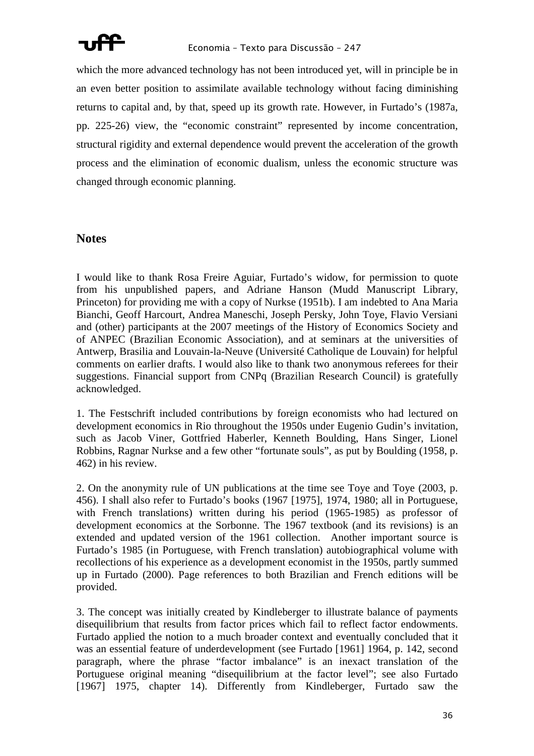

which the more advanced technology has not been introduced yet, will in principle be in an even better position to assimilate available technology without facing diminishing returns to capital and, by that, speed up its growth rate. However, in Furtado's (1987a, pp. 225-26) view, the "economic constraint" represented by income concentration, structural rigidity and external dependence would prevent the acceleration of the growth process and the elimination of economic dualism, unless the economic structure was changed through economic planning.

## **Notes**

I would like to thank Rosa Freire Aguiar, Furtado's widow, for permission to quote from his unpublished papers, and Adriane Hanson (Mudd Manuscript Library, Princeton) for providing me with a copy of Nurkse (1951b). I am indebted to Ana Maria Bianchi, Geoff Harcourt, Andrea Maneschi, Joseph Persky, John Toye, Flavio Versiani and (other) participants at the 2007 meetings of the History of Economics Society and of ANPEC (Brazilian Economic Association), and at seminars at the universities of Antwerp, Brasilia and Louvain-la-Neuve (Université Catholique de Louvain) for helpful comments on earlier drafts. I would also like to thank two anonymous referees for their suggestions. Financial support from CNPq (Brazilian Research Council) is gratefully acknowledged.

1. The Festschrift included contributions by foreign economists who had lectured on development economics in Rio throughout the 1950s under Eugenio Gudin's invitation, such as Jacob Viner, Gottfried Haberler, Kenneth Boulding, Hans Singer, Lionel Robbins, Ragnar Nurkse and a few other "fortunate souls", as put by Boulding (1958, p. 462) in his review.

2. On the anonymity rule of UN publications at the time see Toye and Toye (2003, p. 456). I shall also refer to Furtado's books (1967 [1975], 1974, 1980; all in Portuguese, with French translations) written during his period (1965-1985) as professor of development economics at the Sorbonne. The 1967 textbook (and its revisions) is an extended and updated version of the 1961 collection. Another important source is Furtado's 1985 (in Portuguese, with French translation) autobiographical volume with recollections of his experience as a development economist in the 1950s, partly summed up in Furtado (2000). Page references to both Brazilian and French editions will be provided.

3. The concept was initially created by Kindleberger to illustrate balance of payments disequilibrium that results from factor prices which fail to reflect factor endowments. Furtado applied the notion to a much broader context and eventually concluded that it was an essential feature of underdevelopment (see Furtado [1961] 1964, p. 142, second paragraph, where the phrase "factor imbalance" is an inexact translation of the Portuguese original meaning "disequilibrium at the factor level"; see also Furtado [1967] 1975, chapter 14). Differently from Kindleberger, Furtado saw the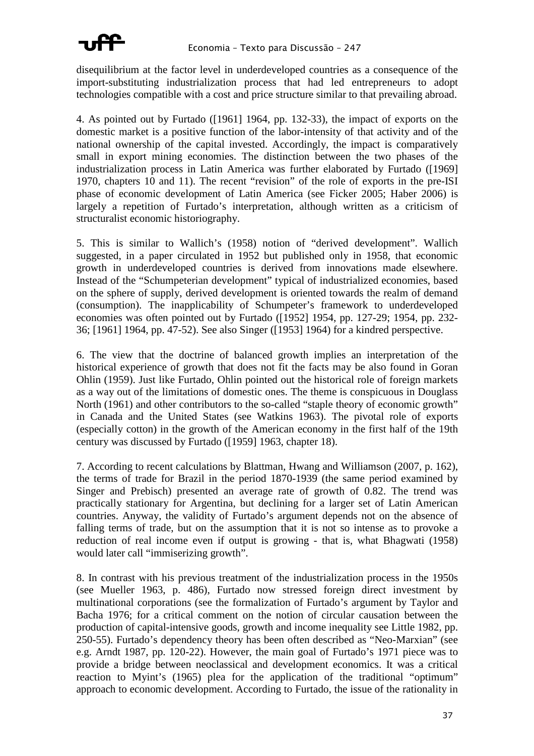

disequilibrium at the factor level in underdeveloped countries as a consequence of the import-substituting industrialization process that had led entrepreneurs to adopt technologies compatible with a cost and price structure similar to that prevailing abroad.

4. As pointed out by Furtado ([1961] 1964, pp. 132-33), the impact of exports on the domestic market is a positive function of the labor-intensity of that activity and of the national ownership of the capital invested. Accordingly, the impact is comparatively small in export mining economies. The distinction between the two phases of the industrialization process in Latin America was further elaborated by Furtado ([1969] 1970, chapters 10 and 11). The recent "revision" of the role of exports in the pre-ISI phase of economic development of Latin America (see Ficker 2005; Haber 2006) is largely a repetition of Furtado's interpretation, although written as a criticism of structuralist economic historiography.

5. This is similar to Wallich's (1958) notion of "derived development". Wallich suggested, in a paper circulated in 1952 but published only in 1958, that economic growth in underdeveloped countries is derived from innovations made elsewhere. Instead of the "Schumpeterian development" typical of industrialized economies, based on the sphere of supply, derived development is oriented towards the realm of demand (consumption). The inapplicability of Schumpeter's framework to underdeveloped economies was often pointed out by Furtado ([1952] 1954, pp. 127-29; 1954, pp. 232- 36; [1961] 1964, pp. 47-52). See also Singer ([1953] 1964) for a kindred perspective.

6. The view that the doctrine of balanced growth implies an interpretation of the historical experience of growth that does not fit the facts may be also found in Goran Ohlin (1959). Just like Furtado, Ohlin pointed out the historical role of foreign markets as a way out of the limitations of domestic ones. The theme is conspicuous in Douglass North (1961) and other contributors to the so-called "staple theory of economic growth" in Canada and the United States (see Watkins 1963). The pivotal role of exports (especially cotton) in the growth of the American economy in the first half of the 19th century was discussed by Furtado ([1959] 1963, chapter 18).

7. According to recent calculations by Blattman, Hwang and Williamson (2007, p. 162), the terms of trade for Brazil in the period 1870-1939 (the same period examined by Singer and Prebisch) presented an average rate of growth of 0.82. The trend was practically stationary for Argentina, but declining for a larger set of Latin American countries. Anyway, the validity of Furtado's argument depends not on the absence of falling terms of trade, but on the assumption that it is not so intense as to provoke a reduction of real income even if output is growing - that is, what Bhagwati (1958) would later call "immiserizing growth".

8. In contrast with his previous treatment of the industrialization process in the 1950s (see Mueller 1963, p. 486), Furtado now stressed foreign direct investment by multinational corporations (see the formalization of Furtado's argument by Taylor and Bacha 1976; for a critical comment on the notion of circular causation between the production of capital-intensive goods, growth and income inequality see Little 1982, pp. 250-55). Furtado's dependency theory has been often described as "Neo-Marxian" (see e.g. Arndt 1987, pp. 120-22). However, the main goal of Furtado's 1971 piece was to provide a bridge between neoclassical and development economics. It was a critical reaction to Myint's (1965) plea for the application of the traditional "optimum" approach to economic development. According to Furtado, the issue of the rationality in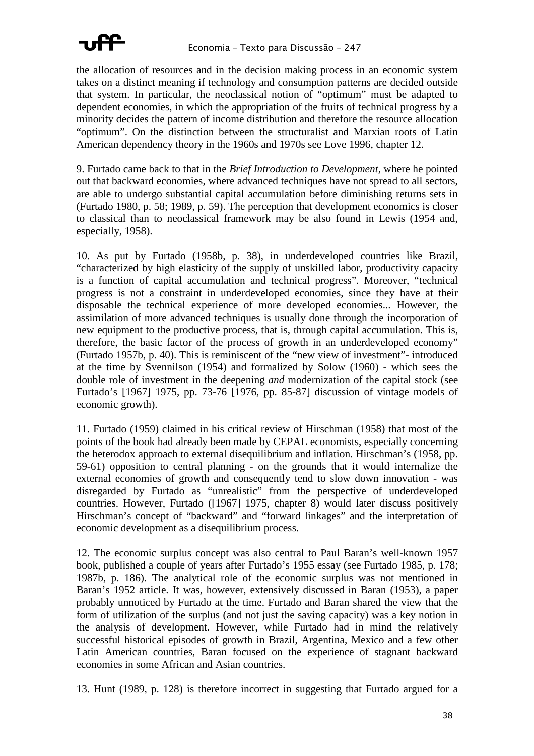

the allocation of resources and in the decision making process in an economic system takes on a distinct meaning if technology and consumption patterns are decided outside that system. In particular, the neoclassical notion of "optimum" must be adapted to dependent economies, in which the appropriation of the fruits of technical progress by a minority decides the pattern of income distribution and therefore the resource allocation "optimum". On the distinction between the structuralist and Marxian roots of Latin American dependency theory in the 1960s and 1970s see Love 1996, chapter 12.

9. Furtado came back to that in the *Brief Introduction to Development*, where he pointed out that backward economies, where advanced techniques have not spread to all sectors, are able to undergo substantial capital accumulation before diminishing returns sets in (Furtado 1980, p. 58; 1989, p. 59). The perception that development economics is closer to classical than to neoclassical framework may be also found in Lewis (1954 and, especially, 1958).

10. As put by Furtado (1958b, p. 38), in underdeveloped countries like Brazil, "characterized by high elasticity of the supply of unskilled labor, productivity capacity is a function of capital accumulation and technical progress". Moreover, "technical progress is not a constraint in underdeveloped economies, since they have at their disposable the technical experience of more developed economies... However, the assimilation of more advanced techniques is usually done through the incorporation of new equipment to the productive process, that is, through capital accumulation. This is, therefore, the basic factor of the process of growth in an underdeveloped economy" (Furtado 1957b, p. 40). This is reminiscent of the "new view of investment"- introduced at the time by Svennilson (1954) and formalized by Solow (1960) - which sees the double role of investment in the deepening *and* modernization of the capital stock (see Furtado's [1967] 1975, pp. 73-76 [1976, pp. 85-87] discussion of vintage models of economic growth).

11. Furtado (1959) claimed in his critical review of Hirschman (1958) that most of the points of the book had already been made by CEPAL economists, especially concerning the heterodox approach to external disequilibrium and inflation. Hirschman's (1958, pp. 59-61) opposition to central planning - on the grounds that it would internalize the external economies of growth and consequently tend to slow down innovation - was disregarded by Furtado as "unrealistic" from the perspective of underdeveloped countries. However, Furtado ([1967] 1975, chapter 8) would later discuss positively Hirschman's concept of "backward" and "forward linkages" and the interpretation of economic development as a disequilibrium process.

12. The economic surplus concept was also central to Paul Baran's well-known 1957 book, published a couple of years after Furtado's 1955 essay (see Furtado 1985, p. 178; 1987b, p. 186). The analytical role of the economic surplus was not mentioned in Baran's 1952 article. It was, however, extensively discussed in Baran (1953), a paper probably unnoticed by Furtado at the time. Furtado and Baran shared the view that the form of utilization of the surplus (and not just the saving capacity) was a key notion in the analysis of development. However, while Furtado had in mind the relatively successful historical episodes of growth in Brazil, Argentina, Mexico and a few other Latin American countries, Baran focused on the experience of stagnant backward economies in some African and Asian countries.

13. Hunt (1989, p. 128) is therefore incorrect in suggesting that Furtado argued for a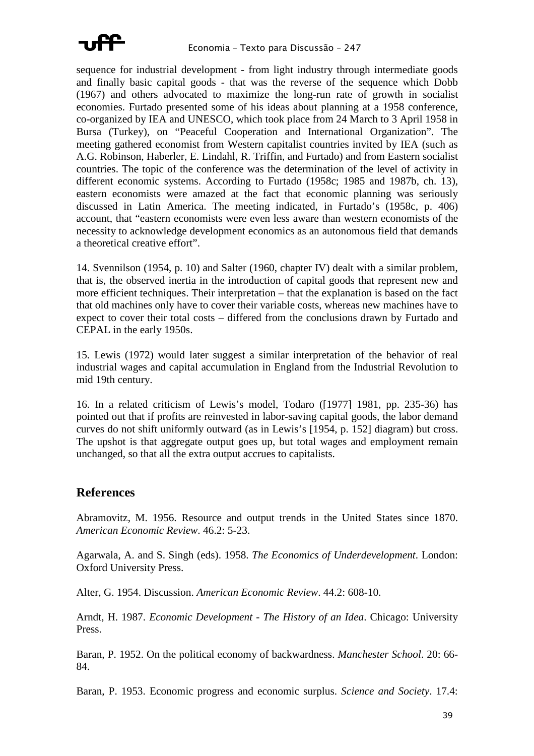

sequence for industrial development - from light industry through intermediate goods and finally basic capital goods - that was the reverse of the sequence which Dobb (1967) and others advocated to maximize the long-run rate of growth in socialist economies. Furtado presented some of his ideas about planning at a 1958 conference, co-organized by IEA and UNESCO, which took place from 24 March to 3 April 1958 in Bursa (Turkey), on "Peaceful Cooperation and International Organization". The meeting gathered economist from Western capitalist countries invited by IEA (such as A.G. Robinson, Haberler, E. Lindahl, R. Triffin, and Furtado) and from Eastern socialist countries. The topic of the conference was the determination of the level of activity in different economic systems. According to Furtado (1958c; 1985 and 1987b, ch. 13), eastern economists were amazed at the fact that economic planning was seriously discussed in Latin America. The meeting indicated, in Furtado's (1958c, p. 406) account, that "eastern economists were even less aware than western economists of the necessity to acknowledge development economics as an autonomous field that demands a theoretical creative effort".

14. Svennilson (1954, p. 10) and Salter (1960, chapter IV) dealt with a similar problem, that is, the observed inertia in the introduction of capital goods that represent new and more efficient techniques. Their interpretation – that the explanation is based on the fact that old machines only have to cover their variable costs, whereas new machines have to expect to cover their total costs – differed from the conclusions drawn by Furtado and CEPAL in the early 1950s.

15. Lewis (1972) would later suggest a similar interpretation of the behavior of real industrial wages and capital accumulation in England from the Industrial Revolution to mid 19th century.

16. In a related criticism of Lewis's model, Todaro ([1977] 1981, pp. 235-36) has pointed out that if profits are reinvested in labor-saving capital goods, the labor demand curves do not shift uniformly outward (as in Lewis's [1954, p. 152] diagram) but cross. The upshot is that aggregate output goes up, but total wages and employment remain unchanged, so that all the extra output accrues to capitalists.

### **References**

Abramovitz, M. 1956. Resource and output trends in the United States since 1870. *American Economic Review*. 46.2: 5-23.

Agarwala, A. and S. Singh (eds). 1958. *The Economics of Underdevelopment*. London: Oxford University Press.

Alter, G. 1954. Discussion. *American Economic Review*. 44.2: 608-10.

Arndt, H. 1987. *Economic Development - The History of an Idea*. Chicago: University Press.

Baran, P. 1952. On the political economy of backwardness. *Manchester School*. 20: 66- 84.

Baran, P. 1953. Economic progress and economic surplus. *Science and Society*. 17.4: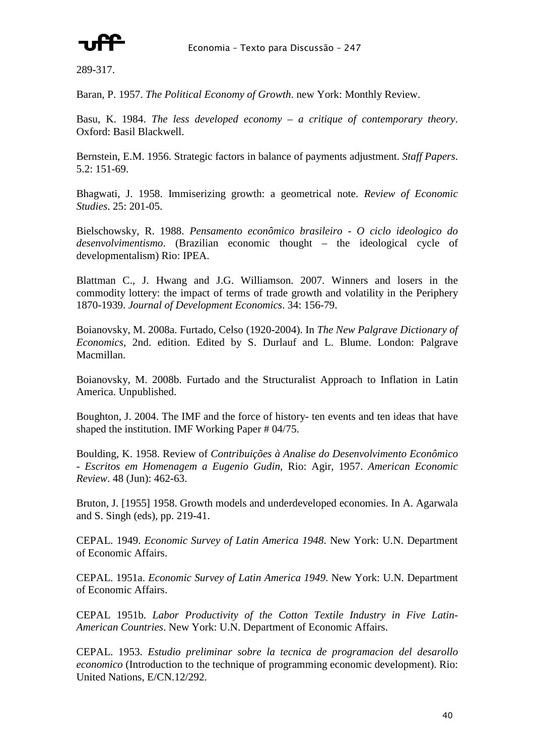

289-317.

Baran, P. 1957. *The Political Economy of Growth*. new York: Monthly Review.

Basu, K. 1984. *The less developed economy – a critique of contemporary theory*. Oxford: Basil Blackwell.

Bernstein, E.M. 1956. Strategic factors in balance of payments adjustment. *Staff Papers*. 5.2: 151-69.

Bhagwati, J. 1958. Immiserizing growth: a geometrical note. *Review of Economic Studies*. 25: 201-05.

Bielschowsky, R. 1988. *Pensamento econômico brasileiro - O ciclo ideologico do desenvolvimentismo*. (Brazilian economic thought – the ideological cycle of developmentalism) Rio: IPEA.

Blattman C., J. Hwang and J.G. Williamson. 2007. Winners and losers in the commodity lottery: the impact of terms of trade growth and volatility in the Periphery 1870-1939. *Journal of Development Economics*. 34: 156-79.

Boianovsky, M. 2008a. Furtado, Celso (1920-2004). In *The New Palgrave Dictionary of Economics*, 2nd. edition. Edited by S. Durlauf and L. Blume. London: Palgrave Macmillan.

Boianovsky, M. 2008b. Furtado and the Structuralist Approach to Inflation in Latin America. Unpublished.

Boughton, J. 2004. The IMF and the force of history- ten events and ten ideas that have shaped the institution. IMF Working Paper # 04/75.

Boulding, K. 1958. Review of *Contribuições à Analise do Desenvolvimento Econômico - Escritos em Homenagem a Eugenio Gudin*, Rio: Agir, 1957. *American Economic Review*. 48 (Jun): 462-63.

Bruton, J. [1955] 1958. Growth models and underdeveloped economies. In A. Agarwala and S. Singh (eds), pp. 219-41.

CEPAL. 1949. *Economic Survey of Latin America 1948*. New York: U.N. Department of Economic Affairs.

CEPAL. 1951a. *Economic Survey of Latin America 1949*. New York: U.N. Department of Economic Affairs.

CEPAL 1951b. *Labor Productivity of the Cotton Textile Industry in Five Latin-American Countries*. New York: U.N. Department of Economic Affairs.

CEPAL. 1953. *Estudio preliminar sobre la tecnica de programacion del desarollo economico* (Introduction to the technique of programming economic development). Rio: United Nations, E/CN.12/292.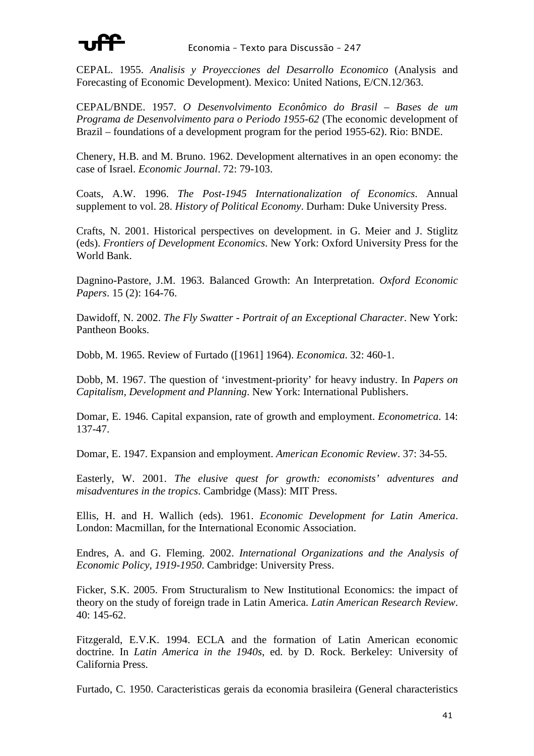

CEPAL. 1955. *Analisis y Proyecciones del Desarrollo Economico* (Analysis and Forecasting of Economic Development). Mexico: United Nations, E/CN.12/363.

CEPAL/BNDE. 1957. *O Desenvolvimento Econômico do Brasil – Bases de um Programa de Desenvolvimento para o Periodo 1955-62* (The economic development of Brazil – foundations of a development program for the period 1955-62). Rio: BNDE.

Chenery, H.B. and M. Bruno. 1962. Development alternatives in an open economy: the case of Israel. *Economic Journal*. 72: 79-103.

Coats, A.W. 1996. *The Post-1945 Internationalization of Economics*. Annual supplement to vol. 28. *History of Political Economy*. Durham: Duke University Press.

Crafts, N. 2001. Historical perspectives on development. in G. Meier and J. Stiglitz (eds). *Frontiers of Development Economics*. New York: Oxford University Press for the World Bank.

Dagnino-Pastore, J.M. 1963. Balanced Growth: An Interpretation. *Oxford Economic Papers*. 15 (2): 164-76.

Dawidoff, N. 2002. *The Fly Swatter - Portrait of an Exceptional Character*. New York: Pantheon Books.

Dobb, M. 1965. Review of Furtado ([1961] 1964). *Economica*. 32: 460-1.

Dobb, M. 1967. The question of 'investment-priority' for heavy industry. In *Papers on Capitalism, Development and Planning*. New York: International Publishers.

Domar, E. 1946. Capital expansion, rate of growth and employment. *Econometrica*. 14: 137-47.

Domar, E. 1947. Expansion and employment. *American Economic Review*. 37: 34-55.

Easterly, W. 2001. *The elusive quest for growth: economists' adventures and misadventures in the tropics*. Cambridge (Mass): MIT Press.

Ellis, H. and H. Wallich (eds). 1961. *Economic Development for Latin America*. London: Macmillan, for the International Economic Association.

Endres, A. and G. Fleming. 2002. *International Organizations and the Analysis of Economic Policy, 1919-1950*. Cambridge: University Press.

Ficker, S.K. 2005. From Structuralism to New Institutional Economics: the impact of theory on the study of foreign trade in Latin America. *Latin American Research Review*. 40: 145-62.

Fitzgerald, E.V.K. 1994. ECLA and the formation of Latin American economic doctrine. In *Latin America in the 1940s*, ed. by D. Rock. Berkeley: University of California Press.

Furtado, C. 1950. Caracteristicas gerais da economia brasileira (General characteristics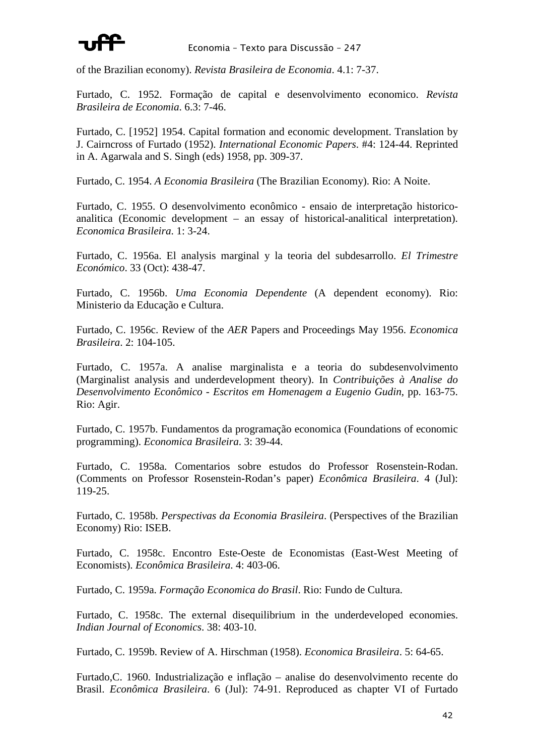

of the Brazilian economy). *Revista Brasileira de Economia*. 4.1: 7-37.

Furtado, C. 1952. Formação de capital e desenvolvimento economico. *Revista Brasileira de Economia*. 6.3: 7-46.

Furtado, C. [1952] 1954. Capital formation and economic development. Translation by J. Cairncross of Furtado (1952). *International Economic Papers*. #4: 124-44. Reprinted in A. Agarwala and S. Singh (eds) 1958, pp. 309-37.

Furtado, C. 1954. *A Economia Brasileira* (The Brazilian Economy). Rio: A Noite.

Furtado, C. 1955. O desenvolvimento econômico - ensaio de interpretação historicoanalitica (Economic development – an essay of historical-analitical interpretation). *Economica Brasileira*. 1: 3-24.

Furtado, C. 1956a. El analysis marginal y la teoria del subdesarrollo. *El Trimestre Económico*. 33 (Oct): 438-47.

Furtado, C. 1956b. *Uma Economia Dependente* (A dependent economy). Rio: Ministerio da Educação e Cultura.

Furtado, C. 1956c. Review of the *AER* Papers and Proceedings May 1956. *Economica Brasileira*. 2: 104-105.

Furtado, C. 1957a. A analise marginalista e a teoria do subdesenvolvimento (Marginalist analysis and underdevelopment theory). In *Contribuições à Analise do Desenvolvimento Econômico - Escritos em Homenagem a Eugenio Gudin*, pp. 163-75. Rio: Agir.

Furtado, C. 1957b. Fundamentos da programação economica (Foundations of economic programming). *Economica Brasileira*. 3: 39-44.

Furtado, C. 1958a. Comentarios sobre estudos do Professor Rosenstein-Rodan. (Comments on Professor Rosenstein-Rodan's paper) *Econômica Brasileira*. 4 (Jul): 119-25.

Furtado, C. 1958b. *Perspectivas da Economia Brasileira*. (Perspectives of the Brazilian Economy) Rio: ISEB.

Furtado, C. 1958c. Encontro Este-Oeste de Economistas (East-West Meeting of Economists). *Econômica Brasileira*. 4: 403-06.

Furtado, C. 1959a. *Formação Economica do Brasil*. Rio: Fundo de Cultura.

Furtado, C. 1958c. The external disequilibrium in the underdeveloped economies. *Indian Journal of Economics*. 38: 403-10.

Furtado, C. 1959b. Review of A. Hirschman (1958). *Economica Brasileira*. 5: 64-65.

Furtado,C. 1960. Industrialização e inflação – analise do desenvolvimento recente do Brasil. *Econômica Brasileira*. 6 (Jul): 74-91. Reproduced as chapter VI of Furtado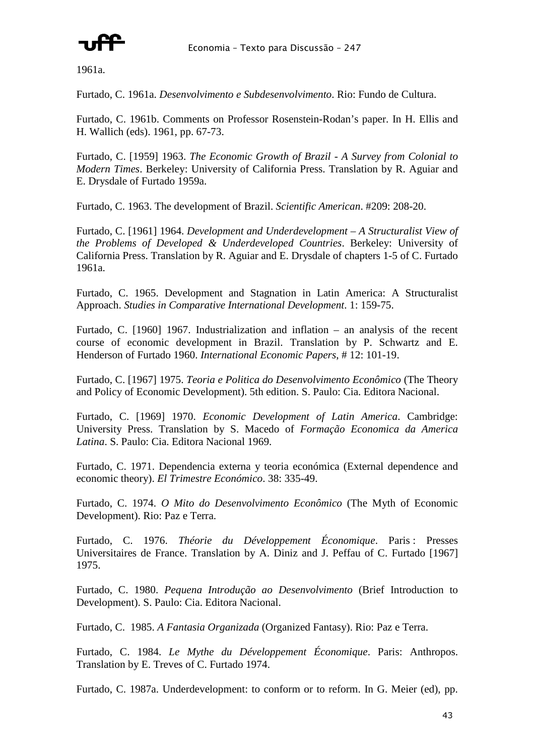

1961a.

Furtado, C. 1961a. *Desenvolvimento e Subdesenvolvimento*. Rio: Fundo de Cultura.

Furtado, C. 1961b. Comments on Professor Rosenstein-Rodan's paper. In H. Ellis and H. Wallich (eds). 1961, pp. 67-73.

Furtado, C. [1959] 1963. *The Economic Growth of Brazil - A Survey from Colonial to Modern Times*. Berkeley: University of California Press. Translation by R. Aguiar and E. Drysdale of Furtado 1959a.

Furtado, C. 1963. The development of Brazil. *Scientific American*. #209: 208-20.

Furtado, C. [1961] 1964. *Development and Underdevelopment – A Structuralist View of the Problems of Developed & Underdeveloped Countries*. Berkeley: University of California Press. Translation by R. Aguiar and E. Drysdale of chapters 1-5 of C. Furtado 1961a.

Furtado, C. 1965. Development and Stagnation in Latin America: A Structuralist Approach. *Studies in Comparative International Development*. 1: 159-75.

Furtado, C. [1960] 1967. Industrialization and inflation – an analysis of the recent course of economic development in Brazil. Translation by P. Schwartz and E. Henderson of Furtado 1960. *International Economic Papers*, # 12: 101-19.

Furtado, C. [1967] 1975. *Teoria e Politica do Desenvolvimento Econômico* (The Theory and Policy of Economic Development). 5th edition. S. Paulo: Cia. Editora Nacional.

Furtado, C. [1969] 1970. *Economic Development of Latin America*. Cambridge: University Press. Translation by S. Macedo of *Formação Economica da America Latina*. S. Paulo: Cia. Editora Nacional 1969.

Furtado, C. 1971. Dependencia externa y teoria económica (External dependence and economic theory). *El Trimestre Económico*. 38: 335-49.

Furtado, C. 1974. *O Mito do Desenvolvimento Econômico* (The Myth of Economic Development). Rio: Paz e Terra.

Furtado, C. 1976. *Théorie du Développement Économique*. Paris : Presses Universitaires de France. Translation by A. Diniz and J. Peffau of C. Furtado [1967] 1975.

Furtado, C. 1980. *Pequena Introdução ao Desenvolvimento* (Brief Introduction to Development). S. Paulo: Cia. Editora Nacional.

Furtado, C. 1985. *A Fantasia Organizada* (Organized Fantasy). Rio: Paz e Terra.

Furtado, C. 1984. *Le Mythe du Développement Économique*. Paris: Anthropos. Translation by E. Treves of C. Furtado 1974.

Furtado, C. 1987a. Underdevelopment: to conform or to reform. In G. Meier (ed), pp.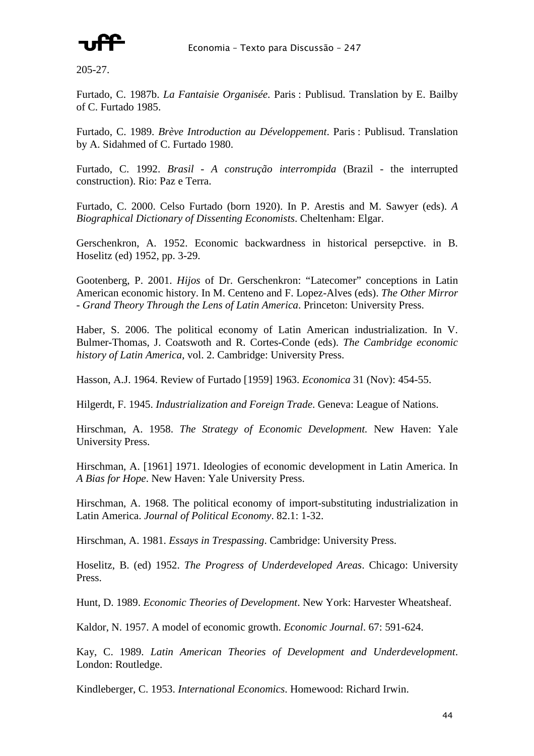

205-27.

Furtado, C. 1987b. *La Fantaisie Organisée*. Paris : Publisud. Translation by E. Bailby of C. Furtado 1985.

Furtado, C. 1989. *Brève Introduction au Développement*. Paris : Publisud. Translation by A. Sidahmed of C. Furtado 1980.

Furtado, C. 1992. *Brasil - A construção interrompida* (Brazil - the interrupted construction). Rio: Paz e Terra.

Furtado, C. 2000. Celso Furtado (born 1920). In P. Arestis and M. Sawyer (eds). *A Biographical Dictionary of Dissenting Economists*. Cheltenham: Elgar.

Gerschenkron, A. 1952. Economic backwardness in historical persepctive. in B. Hoselitz (ed) 1952, pp. 3-29.

Gootenberg, P. 2001. *Hijos* of Dr. Gerschenkron: "Latecomer" conceptions in Latin American economic history. In M. Centeno and F. Lopez-Alves (eds). *The Other Mirror - Grand Theory Through the Lens of Latin America*. Princeton: University Press.

Haber, S. 2006. The political economy of Latin American industrialization. In V. Bulmer-Thomas, J. Coatswoth and R. Cortes-Conde (eds). *The Cambridge economic history of Latin America*, vol. 2. Cambridge: University Press.

Hasson, A.J. 1964. Review of Furtado [1959] 1963. *Economica* 31 (Nov): 454-55.

Hilgerdt, F. 1945. *Industrialization and Foreign Trade*. Geneva: League of Nations.

Hirschman, A. 1958. *The Strategy of Economic Development.* New Haven: Yale University Press.

Hirschman, A. [1961] 1971. Ideologies of economic development in Latin America. In *A Bias for Hope*. New Haven: Yale University Press.

Hirschman, A. 1968. The political economy of import-substituting industrialization in Latin America. *Journal of Political Economy*. 82.1: 1-32.

Hirschman, A. 1981. *Essays in Trespassing*. Cambridge: University Press.

Hoselitz, B. (ed) 1952. *The Progress of Underdeveloped Areas*. Chicago: University Press.

Hunt, D. 1989. *Economic Theories of Development*. New York: Harvester Wheatsheaf.

Kaldor, N. 1957. A model of economic growth. *Economic Journal*. 67: 591-624.

Kay, C. 1989. *Latin American Theories of Development and Underdevelopment*. London: Routledge.

Kindleberger, C. 1953. *International Economics*. Homewood: Richard Irwin.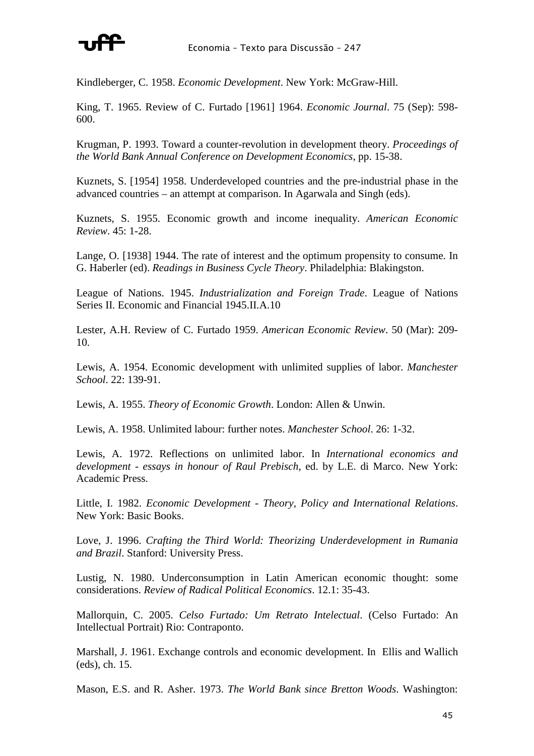

Kindleberger, C. 1958. *Economic Development*. New York: McGraw-Hill.

King, T. 1965. Review of C. Furtado [1961] 1964. *Economic Journal*. 75 (Sep): 598- 600.

Krugman, P. 1993. Toward a counter-revolution in development theory. *Proceedings of the World Bank Annual Conference on Development Economics*, pp. 15-38.

Kuznets, S. [1954] 1958. Underdeveloped countries and the pre-industrial phase in the advanced countries – an attempt at comparison. In Agarwala and Singh (eds).

Kuznets, S. 1955. Economic growth and income inequality. *American Economic Review*. 45: 1-28.

Lange, O. [1938] 1944. The rate of interest and the optimum propensity to consume. In G. Haberler (ed). *Readings in Business Cycle Theory*. Philadelphia: Blakingston.

League of Nations. 1945. *Industrialization and Foreign Trade*. League of Nations Series II. Economic and Financial 1945.II.A.10

Lester, A.H. Review of C. Furtado 1959. *American Economic Review*. 50 (Mar): 209- 10.

Lewis, A. 1954. Economic development with unlimited supplies of labor. *Manchester School*. 22: 139-91.

Lewis, A. 1955. *Theory of Economic Growth*. London: Allen & Unwin.

Lewis, A. 1958. Unlimited labour: further notes. *Manchester School*. 26: 1-32.

Lewis, A. 1972. Reflections on unlimited labor. In *International economics and development - essays in honour of Raul Prebisch*, ed. by L.E. di Marco. New York: Academic Press.

Little, I. 1982. *Economic Development - Theory, Policy and International Relations*. New York: Basic Books.

Love, J. 1996. *Crafting the Third World: Theorizing Underdevelopment in Rumania and Brazil*. Stanford: University Press.

Lustig, N. 1980. Underconsumption in Latin American economic thought: some considerations. *Review of Radical Political Economics*. 12.1: 35-43.

Mallorquin, C. 2005. *Celso Furtado: Um Retrato Intelectual*. (Celso Furtado: An Intellectual Portrait) Rio: Contraponto.

Marshall, J. 1961. Exchange controls and economic development. In Ellis and Wallich (eds), ch. 15.

Mason, E.S. and R. Asher. 1973. *The World Bank since Bretton Woods*. Washington: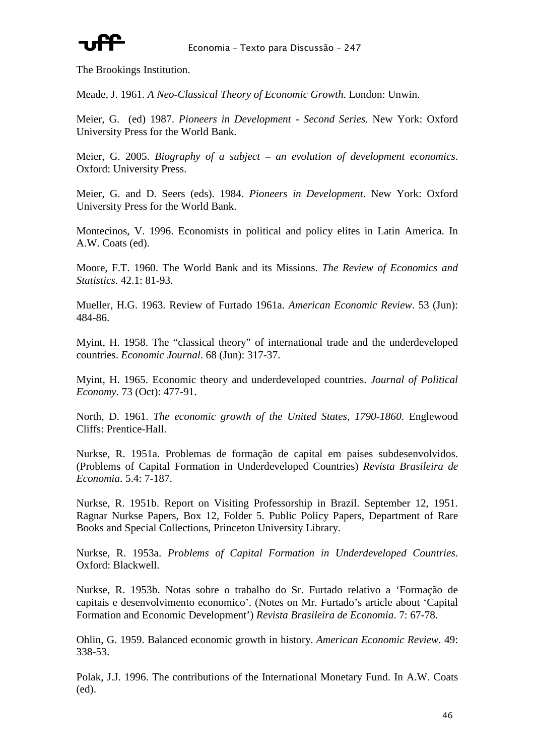

The Brookings Institution.

Meade, J. 1961. *A Neo-Classical Theory of Economic Growth*. London: Unwin.

Meier, G. (ed) 1987. *Pioneers in Development - Second Series*. New York: Oxford University Press for the World Bank.

Meier, G. 2005. *Biography of a subject – an evolution of development economics*. Oxford: University Press.

Meier, G. and D. Seers (eds). 1984. *Pioneers in Development*. New York: Oxford University Press for the World Bank.

Montecinos, V. 1996. Economists in political and policy elites in Latin America. In A.W. Coats (ed).

Moore, F.T. 1960. The World Bank and its Missions. *The Review of Economics and Statistics*. 42.1: 81-93.

Mueller, H.G. 1963. Review of Furtado 1961a. *American Economic Review*. 53 (Jun): 484-86.

Myint, H. 1958. The "classical theory" of international trade and the underdeveloped countries. *Economic Journal*. 68 (Jun): 317-37.

Myint, H. 1965. Economic theory and underdeveloped countries. *Journal of Political Economy*. 73 (Oct): 477-91.

North, D. 1961. *The economic growth of the United States, 1790-1860*. Englewood Cliffs: Prentice-Hall.

Nurkse, R. 1951a. Problemas de formação de capital em paises subdesenvolvidos. (Problems of Capital Formation in Underdeveloped Countries) *Revista Brasileira de Economia*. 5.4: 7-187.

Nurkse, R. 1951b. Report on Visiting Professorship in Brazil. September 12, 1951. Ragnar Nurkse Papers, Box 12, Folder 5. Public Policy Papers, Department of Rare Books and Special Collections, Princeton University Library.

Nurkse, R. 1953a. *Problems of Capital Formation in Underdeveloped Countries*. Oxford: Blackwell.

Nurkse, R. 1953b. Notas sobre o trabalho do Sr. Furtado relativo a 'Formação de capitais e desenvolvimento economico'. (Notes on Mr. Furtado's article about 'Capital Formation and Economic Development') *Revista Brasileira de Economia*. 7: 67-78.

Ohlin, G. 1959. Balanced economic growth in history. *American Economic Review*. 49: 338-53.

Polak, J.J. 1996. The contributions of the International Monetary Fund. In A.W. Coats (ed).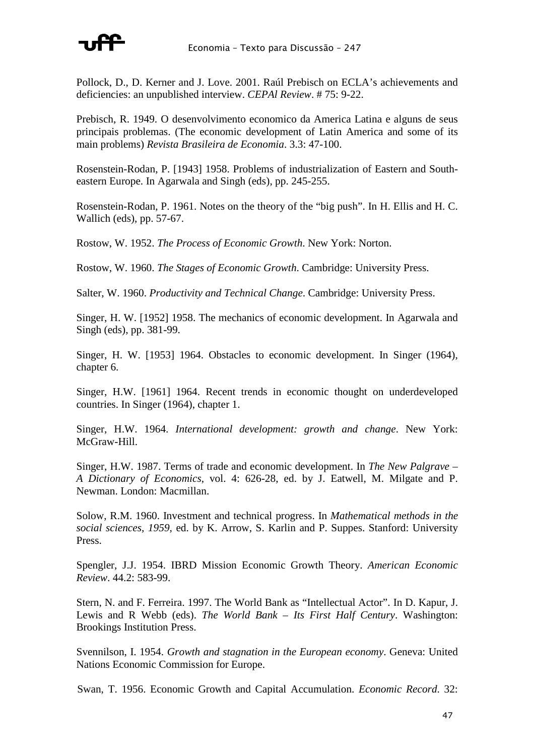

Pollock, D., D. Kerner and J. Love. 2001. Raúl Prebisch on ECLA's achievements and deficiencies: an unpublished interview. *CEPAl Review*. # 75: 9-22.

Prebisch, R. 1949. O desenvolvimento economico da America Latina e alguns de seus principais problemas. (The economic development of Latin America and some of its main problems) *Revista Brasileira de Economia*. 3.3: 47-100.

Rosenstein-Rodan, P. [1943] 1958. Problems of industrialization of Eastern and Southeastern Europe. In Agarwala and Singh (eds), pp. 245-255.

Rosenstein-Rodan, P. 1961. Notes on the theory of the "big push". In H. Ellis and H. C. Wallich (eds), pp. 57-67.

Rostow, W. 1952. *The Process of Economic Growth*. New York: Norton.

Rostow, W. 1960. *The Stages of Economic Growth*. Cambridge: University Press.

Salter, W. 1960. *Productivity and Technical Change*. Cambridge: University Press.

Singer, H. W. [1952] 1958. The mechanics of economic development. In Agarwala and Singh (eds), pp. 381-99.

Singer, H. W. [1953] 1964. Obstacles to economic development. In Singer (1964), chapter 6.

Singer, H.W. [1961] 1964. Recent trends in economic thought on underdeveloped countries. In Singer (1964), chapter 1.

Singer, H.W. 1964. *International development: growth and change*. New York: McGraw-Hill.

Singer, H.W. 1987. Terms of trade and economic development. In *The New Palgrave – A Dictionary of Economics*, vol. 4: 626-28, ed. by J. Eatwell, M. Milgate and P. Newman. London: Macmillan.

Solow, R.M. 1960. Investment and technical progress. In *Mathematical methods in the social sciences, 1959*, ed. by K. Arrow, S. Karlin and P. Suppes. Stanford: University Press.

Spengler, J.J. 1954. IBRD Mission Economic Growth Theory. *American Economic Review*. 44.2: 583-99.

Stern, N. and F. Ferreira. 1997. The World Bank as "Intellectual Actor". In D. Kapur, J. Lewis and R Webb (eds). *The World Bank – Its First Half Century*. Washington: Brookings Institution Press.

Svennilson, I. 1954. *Growth and stagnation in the European economy*. Geneva: United Nations Economic Commission for Europe.

Swan, T. 1956. Economic Growth and Capital Accumulation. *Economic Record*. 32: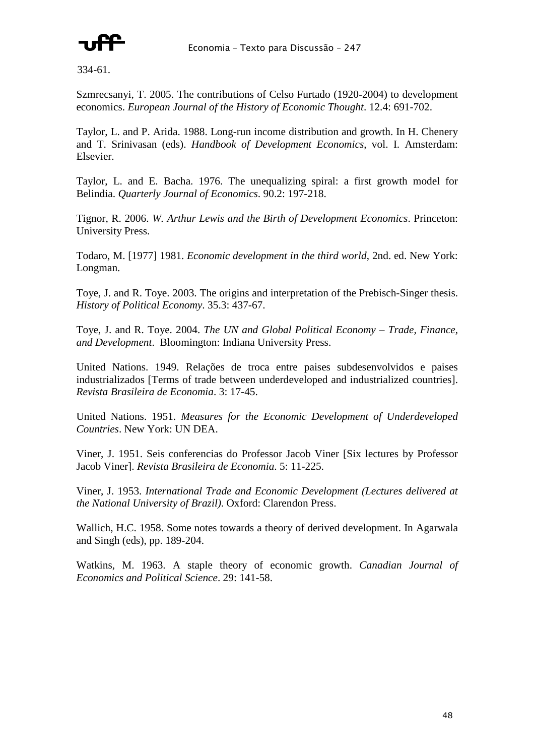

334-61.

Szmrecsanyi, T. 2005. The contributions of Celso Furtado (1920-2004) to development economics. *European Journal of the History of Economic Thought*. 12.4: 691-702.

Taylor, L. and P. Arida. 1988. Long-run income distribution and growth. In H. Chenery and T. Srinivasan (eds). *Handbook of Development Economics*, vol. I. Amsterdam: Elsevier.

Taylor, L. and E. Bacha. 1976. The unequalizing spiral: a first growth model for Belindia. *Quarterly Journal of Economics*. 90.2: 197-218.

Tignor, R. 2006. *W. Arthur Lewis and the Birth of Development Economics*. Princeton: University Press.

Todaro, M. [1977] 1981. *Economic development in the third world*, 2nd. ed. New York: Longman.

Toye, J. and R. Toye. 2003. The origins and interpretation of the Prebisch-Singer thesis. *History of Political Economy*. 35.3: 437-67.

Toye, J. and R. Toye. 2004. *The UN and Global Political Economy – Trade, Finance, and Development*. Bloomington: Indiana University Press.

United Nations. 1949. Relações de troca entre paises subdesenvolvidos e paises industrializados [Terms of trade between underdeveloped and industrialized countries]. *Revista Brasileira de Economia*. 3: 17-45.

United Nations. 1951. *Measures for the Economic Development of Underdeveloped Countries*. New York: UN DEA.

Viner, J. 1951. Seis conferencias do Professor Jacob Viner [Six lectures by Professor Jacob Viner]. *Revista Brasileira de Economia*. 5: 11-225.

Viner, J. 1953. *International Trade and Economic Development (Lectures delivered at the National University of Brazil)*. Oxford: Clarendon Press.

Wallich, H.C. 1958. Some notes towards a theory of derived development. In Agarwala and Singh (eds), pp. 189-204.

Watkins, M. 1963. A staple theory of economic growth. *Canadian Journal of Economics and Political Science*. 29: 141-58.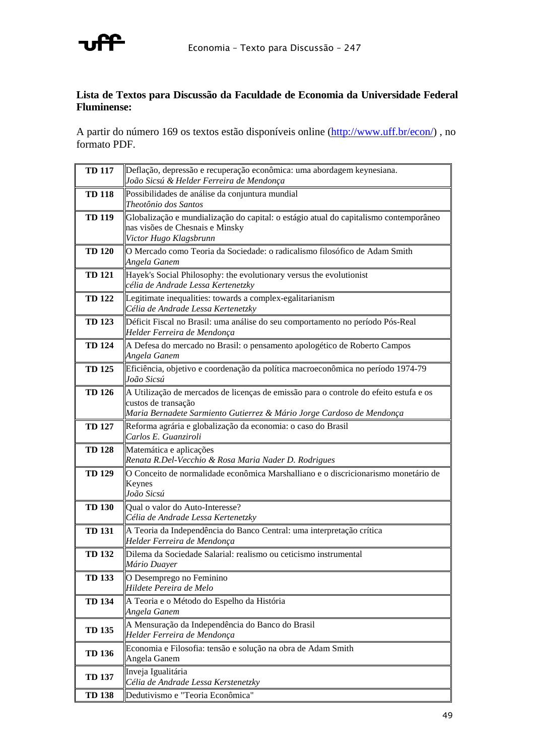

### **Lista de Textos para Discussão da Faculdade de Economia da Universidade Federal Fluminense:**

A partir do número 169 os textos estão disponíveis online (http://www.uff.br/econ/) , no formato PDF.

| <b>TD 117</b> | Deflação, depressão e recuperação econômica: uma abordagem keynesiana.                         |
|---------------|------------------------------------------------------------------------------------------------|
|               | João Sicsú & Helder Ferreira de Mendonça                                                       |
| <b>TD 118</b> | Possibilidades de análise da conjuntura mundial<br>Theotônio dos Santos                        |
| <b>TD 119</b> | Globalização e mundialização do capital: o estágio atual do capitalismo contemporâneo          |
|               | nas visões de Chesnais e Minsky                                                                |
|               | Victor Hugo Klagsbrunn                                                                         |
| <b>TD 120</b> | O Mercado como Teoria da Sociedade: o radicalismo filosófico de Adam Smith<br>Angela Ganem     |
| <b>TD 121</b> | Hayek's Social Philosophy: the evolutionary versus the evolutionist                            |
|               | célia de Andrade Lessa Kertenetzky                                                             |
| <b>TD 122</b> | Legitimate inequalities: towards a complex-egalitarianism                                      |
|               | Célia de Andrade Lessa Kertenetzky                                                             |
| <b>TD 123</b> | Déficit Fiscal no Brasil: uma análise do seu comportamento no período Pós-Real                 |
|               | Helder Ferreira de Mendonça                                                                    |
| <b>TD 124</b> | A Defesa do mercado no Brasil: o pensamento apologético de Roberto Campos                      |
|               | Angela Ganem                                                                                   |
| <b>TD 125</b> | Eficiência, objetivo e coordenação da política macroeconômica no período 1974-79<br>João Sicsú |
| <b>TD 126</b> | A Utilização de mercados de licenças de emissão para o controle do efeito estufa e os          |
|               | custos de transação                                                                            |
|               | Maria Bernadete Sarmiento Gutierrez & Mário Jorge Cardoso de Mendonça                          |
| <b>TD 127</b> | Reforma agrária e globalização da economia: o caso do Brasil<br>Carlos E. Guanziroli           |
| <b>TD 128</b> | Matemática e aplicações                                                                        |
|               | Renata R.Del-Vecchio & Rosa Maria Nader D. Rodrigues                                           |
| <b>TD 129</b> | O Conceito de normalidade econômica Marshalliano e o discricionarismo monetário de<br>Keynes   |
|               | João Sicsú                                                                                     |
| <b>TD 130</b> | Qual o valor do Auto-Interesse?                                                                |
|               | Célia de Andrade Lessa Kertenetzky                                                             |
| <b>TD 131</b> | A Teoria da Independência do Banco Central: uma interpretação crítica                          |
|               | Helder Ferreira de Mendonça                                                                    |
| <b>TD 132</b> | Dilema da Sociedade Salarial: realismo ou ceticismo instrumental                               |
|               | Mário Duayer                                                                                   |
| <b>TD 133</b> | O Desemprego no Feminino<br>Hildete Pereira de Melo                                            |
|               |                                                                                                |
| <b>TD 134</b> | A Teoria e o Método do Espelho da História<br>Angela Ganem                                     |
|               | A Mensuração da Independência do Banco do Brasil                                               |
| <b>TD 135</b> | Helder Ferreira de Mendonça                                                                    |
|               | Economia e Filosofia: tensão e solução na obra de Adam Smith                                   |
| <b>TD 136</b> | Angela Ganem                                                                                   |
| <b>TD 137</b> | Inveja Igualitária                                                                             |
|               | Célia de Andrade Lessa Kerstenetzky                                                            |
| <b>TD 138</b> | Dedutivismo e "Teoria Econômica"                                                               |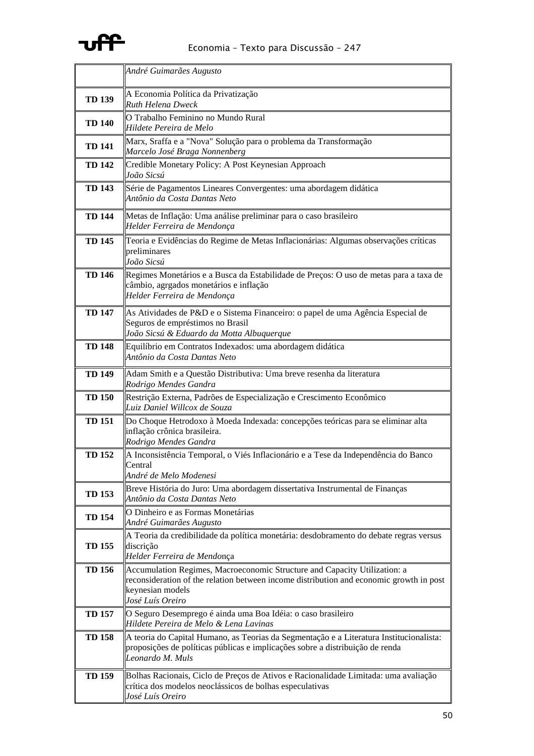

|               | André Guimarães Augusto                                                                                                                                                                                      |
|---------------|--------------------------------------------------------------------------------------------------------------------------------------------------------------------------------------------------------------|
| <b>TD 139</b> | A Economia Política da Privatização<br><b>Ruth Helena Dweck</b>                                                                                                                                              |
| <b>TD 140</b> | O Trabalho Feminino no Mundo Rural<br>Hildete Pereira de Melo                                                                                                                                                |
| <b>TD 141</b> | Marx, Sraffa e a "Nova" Solução para o problema da Transformação<br>Marcelo José Braga Nonnenberg                                                                                                            |
| <b>TD 142</b> | Credible Monetary Policy: A Post Keynesian Approach<br>João Sicsú                                                                                                                                            |
| <b>TD 143</b> | Série de Pagamentos Lineares Convergentes: uma abordagem didática<br>Antônio da Costa Dantas Neto                                                                                                            |
| <b>TD 144</b> | Metas de Inflação: Uma análise preliminar para o caso brasileiro<br>Helder Ferreira de Mendonça                                                                                                              |
| <b>TD 145</b> | Teoria e Evidências do Regime de Metas Inflacionárias: Algumas observações críticas<br>preliminares<br>João Sicsú                                                                                            |
| <b>TD 146</b> | Regimes Monetários e a Busca da Estabilidade de Preços: O uso de metas para a taxa de<br>câmbio, agrgados monetários e inflação<br>Helder Ferreira de Mendonça                                               |
| <b>TD 147</b> | As Atividades de P&D e o Sistema Financeiro: o papel de uma Agência Especial de<br>Seguros de empréstimos no Brasil<br>João Sicsú & Eduardo da Motta Albuquerque                                             |
| <b>TD 148</b> | Equilíbrio em Contratos Indexados: uma abordagem didática<br>Antônio da Costa Dantas Neto                                                                                                                    |
| <b>TD 149</b> | Adam Smith e a Questão Distributiva: Uma breve resenha da literatura<br>Rodrigo Mendes Gandra                                                                                                                |
| <b>TD 150</b> | Restrição Externa, Padrões de Especialização e Crescimento Econômico<br>Luiz Daniel Willcox de Souza                                                                                                         |
| <b>TD 151</b> | Do Choque Hetrodoxo à Moeda Indexada: concepções teóricas para se eliminar alta<br>inflação crônica brasileira.<br>Rodrigo Mendes Gandra                                                                     |
| <b>TD 152</b> | A Inconsistência Temporal, o Viés Inflacionário e a Tese da Independência do Banco<br>$C$ entral<br>André de Melo Modenesi                                                                                   |
| <b>TD 153</b> | Breve História do Juro: Uma abordagem dissertativa Instrumental de Finanças<br>Antônio da Costa Dantas Neto                                                                                                  |
| <b>TD 154</b> | O Dinheiro e as Formas Monetárias<br>André Guimarães Augusto                                                                                                                                                 |
| <b>TD 155</b> | A Teoria da credibilidade da política monetária: desdobramento do debate regras versus<br>discrição<br>Helder Ferreira de Mendonça                                                                           |
| <b>TD 156</b> | Accumulation Regimes, Macroeconomic Structure and Capacity Utilization: a<br>reconsideration of the relation between income distribution and economic growth in post<br>keynesian models<br>José Luís Oreiro |
| <b>TD 157</b> | O Seguro Desemprego é ainda uma Boa Idéia: o caso brasileiro<br>Hildete Pereira de Melo & Lena Lavinas                                                                                                       |
| <b>TD 158</b> | A teoria do Capital Humano, as Teorias da Segmentação e a Literatura Institucionalista:<br>proposições de políticas públicas e implicações sobre a distribuição de renda<br>Leonardo M. Muls                 |
| <b>TD 159</b> | Bolhas Racionais, Ciclo de Preços de Ativos e Racionalidade Limitada: uma avaliação<br>crítica dos modelos neoclássicos de bolhas especulativas<br>José Luís Oreiro                                          |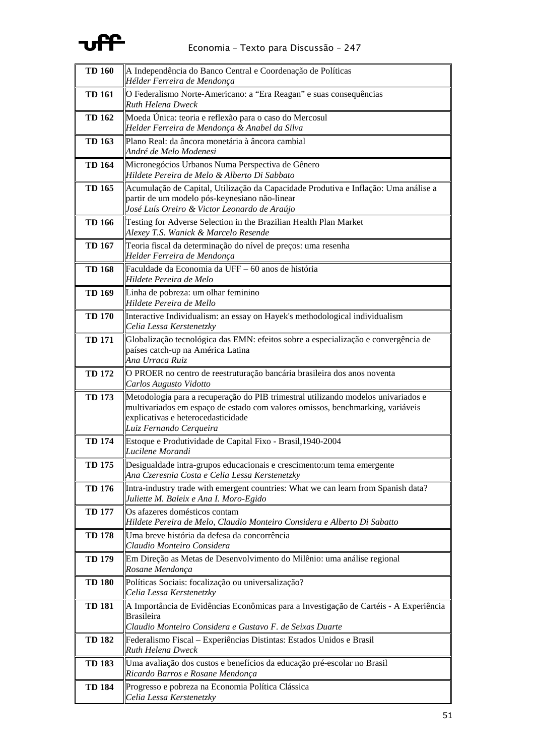

| <b>TD 160</b> | A Independência do Banco Central e Coordenação de Políticas<br>Hélder Ferreira de Mendonça                                                                                                                                           |
|---------------|--------------------------------------------------------------------------------------------------------------------------------------------------------------------------------------------------------------------------------------|
| <b>TD 161</b> | O Federalismo Norte-Americano: a "Era Reagan" e suas consequências<br><b>Ruth Helena Dweck</b>                                                                                                                                       |
| <b>TD 162</b> | Moeda Única: teoria e reflexão para o caso do Mercosul<br>Helder Ferreira de Mendonça & Anabel da Silva                                                                                                                              |
| <b>TD 163</b> | Plano Real: da âncora monetária à âncora cambial<br>André de Melo Modenesi                                                                                                                                                           |
| <b>TD 164</b> | Micronegócios Urbanos Numa Perspectiva de Gênero<br>Hildete Pereira de Melo & Alberto Di Sabbato                                                                                                                                     |
| <b>TD 165</b> | Acumulação de Capital, Utilização da Capacidade Produtiva e Inflação: Uma análise a<br>partir de um modelo pós-keynesiano não-linear<br>José Luís Oreiro & Victor Leonardo de Araújo                                                 |
| <b>TD 166</b> | Testing for Adverse Selection in the Brazilian Health Plan Market<br>Alexey T.S. Wanick & Marcelo Resende                                                                                                                            |
| <b>TD 167</b> | Teoria fiscal da determinação do nível de preços: uma resenha<br>Helder Ferreira de Mendonça                                                                                                                                         |
| <b>TD 168</b> | Faculdade da Economia da UFF – 60 anos de história<br>Hildete Pereira de Melo                                                                                                                                                        |
| <b>TD 169</b> | Linha de pobreza: um olhar feminino<br>Hildete Pereira de Mello                                                                                                                                                                      |
| <b>TD 170</b> | Interactive Individualism: an essay on Hayek's methodological individualism<br>Celia Lessa Kerstenetzky                                                                                                                              |
| <b>TD 171</b> | Globalização tecnológica das EMN: efeitos sobre a especialização e convergência de<br>países catch-up na América Latina<br>Ana Urraca Ruiz                                                                                           |
| <b>TD 172</b> | O PROER no centro de reestruturação bancária brasileira dos anos noventa<br>Carlos Augusto Vidotto                                                                                                                                   |
| <b>TD 173</b> | Metodologia para a recuperação do PIB trimestral utilizando modelos univariados e<br>multivariados em espaço de estado com valores omissos, benchmarking, variáveis<br>explicativas e heterocedasticidade<br>Luiz Fernando Cerqueira |
| <b>TD 174</b> | Estoque e Produtividade de Capital Fixo - Brasil, 1940-2004<br>Lucilene Morandi                                                                                                                                                      |
| <b>TD 175</b> | Desigualdade intra-grupos educacionais e crescimento:um tema emergente<br>Ana Czeresnia Costa e Celia Lessa Kerstenetzky                                                                                                             |
| <b>TD 176</b> | Intra-industry trade with emergent countries: What we can learn from Spanish data?<br>Juliette M. Baleix e Ana I. Moro-Egido                                                                                                         |
| <b>TD 177</b> | Os afazeres domésticos contam<br>Hildete Pereira de Melo, Claudio Monteiro Considera e Alberto Di Sabatto                                                                                                                            |
| <b>TD 178</b> | Uma breve história da defesa da concorrência<br>Claudio Monteiro Considera                                                                                                                                                           |
| <b>TD 179</b> | Em Direção as Metas de Desenvolvimento do Milênio: uma análise regional<br>Rosane Mendonça                                                                                                                                           |
| <b>TD 180</b> | Políticas Sociais: focalização ou universalização?<br>Celia Lessa Kerstenetzky                                                                                                                                                       |
| <b>TD 181</b> | A Importância de Evidências Econômicas para a Investigação de Cartéis - A Experiência<br><b>Brasileira</b><br>Claudio Monteiro Considera e Gustavo F. de Seixas Duarte                                                               |
| <b>TD 182</b> | Federalismo Fiscal - Experiências Distintas: Estados Unidos e Brasil<br>Ruth Helena Dweck                                                                                                                                            |
| <b>TD 183</b> | Uma avaliação dos custos e benefícios da educação pré-escolar no Brasil<br>Ricardo Barros e Rosane Mendonça                                                                                                                          |
| <b>TD 184</b> | Progresso e pobreza na Economia Política Clássica<br>Celia Lessa Kerstenetzky                                                                                                                                                        |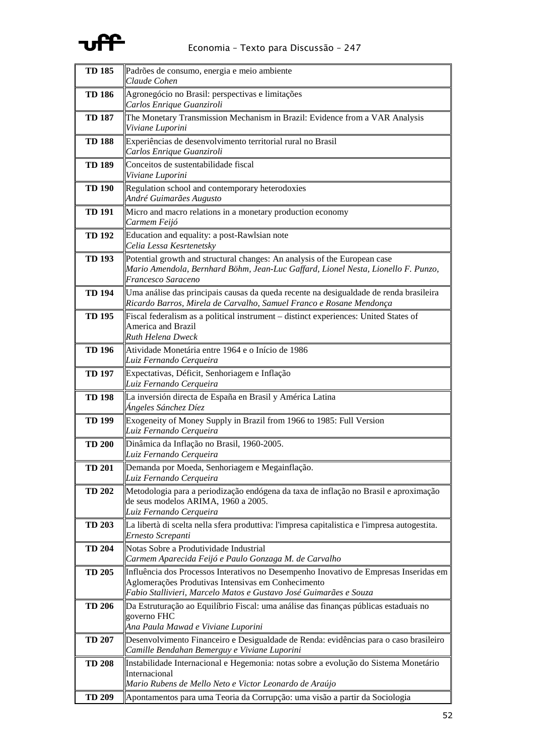

| <b>TD 185</b> | Padrões de consumo, energia e meio ambiente<br>Claude Cohen                                                                                                                                                      |
|---------------|------------------------------------------------------------------------------------------------------------------------------------------------------------------------------------------------------------------|
| <b>TD 186</b> | Agronegócio no Brasil: perspectivas e limitações                                                                                                                                                                 |
|               | Carlos Enrique Guanziroli                                                                                                                                                                                        |
| <b>TD 187</b> | The Monetary Transmission Mechanism in Brazil: Evidence from a VAR Analysis<br>Viviane Luporini                                                                                                                  |
| <b>TD 188</b> | Experiências de desenvolvimento territorial rural no Brasil<br>Carlos Enrique Guanziroli                                                                                                                         |
| <b>TD 189</b> | Conceitos de sustentabilidade fiscal<br>Viviane Luporini                                                                                                                                                         |
| <b>TD 190</b> | Regulation school and contemporary heterodoxies<br>André Guimarães Augusto                                                                                                                                       |
| TD 191        | Micro and macro relations in a monetary production economy<br>Carmem Feijó                                                                                                                                       |
| <b>TD 192</b> | Education and equality: a post-Rawlsian note<br>Celia Lessa Kesrtenetsky                                                                                                                                         |
| <b>TD 193</b> | Potential growth and structural changes: An analysis of the European case<br>Mario Amendola, Bernhard Böhm, Jean-Luc Gaffard, Lionel Nesta, Lionello F. Punzo,<br>Francesco Saraceno                             |
| <b>TD 194</b> | Uma análise das principais causas da queda recente na desigualdade de renda brasileira<br>Ricardo Barros, Mirela de Carvalho, Samuel Franco e Rosane Mendonça                                                    |
| <b>TD 195</b> | Fiscal federalism as a political instrument - distinct experiences: United States of<br>America and Brazil<br><b>Ruth Helena Dweck</b>                                                                           |
| <b>TD 196</b> | Atividade Monetária entre 1964 e o Início de 1986<br>Luiz Fernando Cerqueira                                                                                                                                     |
| <b>TD 197</b> | Expectativas, Déficit, Senhoriagem e Inflação<br>Luiz Fernando Cerqueira                                                                                                                                         |
| <b>TD 198</b> | La inversión directa de España en Brasil y América Latina<br>Ángeles Sánchez Díez                                                                                                                                |
| <b>TD 199</b> | Exogeneity of Money Supply in Brazil from 1966 to 1985: Full Version<br>Luiz Fernando Cerqueira                                                                                                                  |
| <b>TD 200</b> | Dinâmica da Inflação no Brasil, 1960-2005.<br>Luiz Fernando Cerqueira                                                                                                                                            |
| <b>TD 201</b> | Demanda por Moeda, Senhoriagem e Megainflação.<br>Luiz Fernando Cerqueira                                                                                                                                        |
| <b>TD 202</b> | Metodologia para a periodização endógena da taxa de inflação no Brasil e aproximação<br>de seus modelos ARIMA, 1960 a 2005.<br>Luiz Fernando Cerqueira                                                           |
| <b>TD 203</b> | La libertà di scelta nella sfera produttiva: l'impresa capitalistica e l'impresa autogestita.<br>Ernesto Screpanti                                                                                               |
| <b>TD 204</b> | Notas Sobre a Produtividade Industrial<br>Carmem Aparecida Feijó e Paulo Gonzaga M. de Carvalho                                                                                                                  |
| <b>TD 205</b> | Influência dos Processos Interativos no Desempenho Inovativo de Empresas Inseridas em<br>Aglomerações Produtivas Intensivas em Conhecimento<br>Fabio Stallivieri, Marcelo Matos e Gustavo José Guimarães e Souza |
| <b>TD 206</b> | Da Estruturação ao Equilíbrio Fiscal: uma análise das finanças públicas estaduais no<br>governo FHC<br>Ana Paula Mawad e Viviane Luporini                                                                        |
| <b>TD 207</b> | Desenvolvimento Financeiro e Desigualdade de Renda: evidências para o caso brasileiro<br>Camille Bendahan Bemerguy e Viviane Luporini                                                                            |
| <b>TD 208</b> | Instabilidade Internacional e Hegemonia: notas sobre a evolução do Sistema Monetário<br>Internacional<br>Mario Rubens de Mello Neto e Victor Leonardo de Araújo                                                  |
| <b>TD 209</b> | Apontamentos para uma Teoria da Corrupção: uma visão a partir da Sociologia                                                                                                                                      |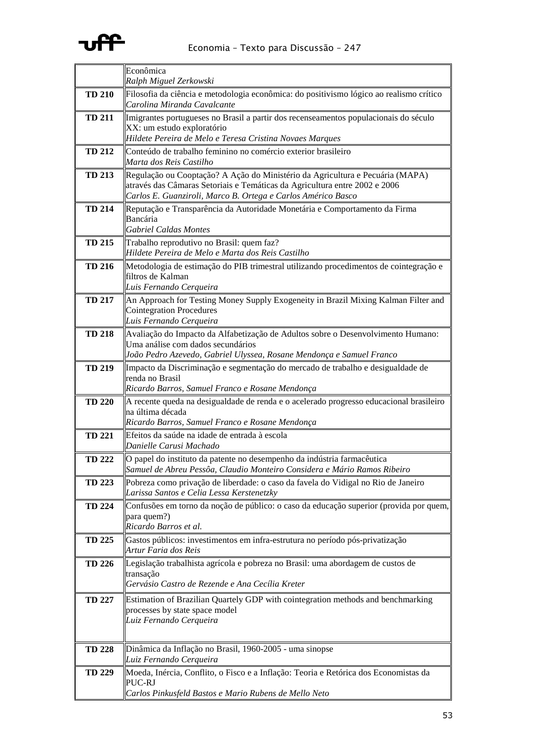

|               | Econômica                                                                                                                                                                                                                   |
|---------------|-----------------------------------------------------------------------------------------------------------------------------------------------------------------------------------------------------------------------------|
|               | Ralph Miguel Zerkowski                                                                                                                                                                                                      |
| <b>TD 210</b> | Filosofia da ciência e metodologia econômica: do positivismo lógico ao realismo crítico<br>Carolina Miranda Cavalcante                                                                                                      |
| <b>TD 211</b> | Imigrantes portugueses no Brasil a partir dos recenseamentos populacionais do século<br>XX: um estudo exploratório<br>Hildete Pereira de Melo e Teresa Cristina Novaes Marques                                              |
| <b>TD 212</b> | Conteúdo de trabalho feminino no comércio exterior brasileiro<br>Marta dos Reis Castilho                                                                                                                                    |
| <b>TD 213</b> | Regulação ou Cooptação? A Ação do Ministério da Agricultura e Pecuária (MAPA)<br>através das Câmaras Setoriais e Temáticas da Agricultura entre 2002 e 2006<br>Carlos E. Guanziroli, Marco B. Ortega e Carlos Américo Basco |
| <b>TD 214</b> | Reputação e Transparência da Autoridade Monetária e Comportamento da Firma<br>Bancária<br><b>Gabriel Caldas Montes</b>                                                                                                      |
| <b>TD 215</b> | Trabalho reprodutivo no Brasil: quem faz?<br>Hildete Pereira de Melo e Marta dos Reis Castilho                                                                                                                              |
| <b>TD 216</b> | Metodologia de estimação do PIB trimestral utilizando procedimentos de cointegração e<br>filtros de Kalman<br>Luis Fernando Cerqueira                                                                                       |
| <b>TD 217</b> | An Approach for Testing Money Supply Exogeneity in Brazil Mixing Kalman Filter and<br>Cointegration Procedures<br>Luis Fernando Cerqueira                                                                                   |
| <b>TD 218</b> | Avaliação do Impacto da Alfabetização de Adultos sobre o Desenvolvimento Humano:<br>Uma análise com dados secundários<br>João Pedro Azevedo, Gabriel Ulyssea, Rosane Mendonça e Samuel Franco                               |
| <b>TD 219</b> | Impacto da Discriminação e segmentação do mercado de trabalho e desigualdade de<br>renda no Brasil<br>Ricardo Barros, Samuel Franco e Rosane Mendonça                                                                       |
| <b>TD 220</b> | A recente queda na desigualdade de renda e o acelerado progresso educacional brasileiro<br>na última década<br>Ricardo Barros, Samuel Franco e Rosane Mendonça                                                              |
| <b>TD 221</b> | Efeitos da saúde na idade de entrada à escola<br>Danielle Carusi Machado                                                                                                                                                    |
| <b>TD 222</b> | O papel do instituto da patente no desempenho da indústria farmacêutica<br>Samuel de Abreu Pessôa, Claudio Monteiro Considera e Mário Ramos Ribeiro                                                                         |
| <b>TD 223</b> | Pobreza como privação de liberdade: o caso da favela do Vidigal no Rio de Janeiro<br>Larissa Santos e Celia Lessa Kerstenetzky                                                                                              |
| <b>TD 224</b> | Confusões em torno da noção de público: o caso da educação superior (provida por quem,<br>para quem?)<br>Ricardo Barros et al.                                                                                              |
| <b>TD 225</b> | Gastos públicos: investimentos em infra-estrutura no período pós-privatização<br>Artur Faria dos Reis                                                                                                                       |
| <b>TD 226</b> | Legislação trabalhista agrícola e pobreza no Brasil: uma abordagem de custos de<br>transação<br>Gervásio Castro de Rezende e Ana Cecília Kreter                                                                             |
| <b>TD 227</b> | Estimation of Brazilian Quartely GDP with cointegration methods and benchmarking<br>processes by state space model<br>Luiz Fernando Cerqueira                                                                               |
| <b>TD 228</b> | Dinâmica da Inflação no Brasil, 1960-2005 - uma sinopse<br>Luiz Fernando Cerqueira                                                                                                                                          |
| <b>TD 229</b> | Moeda, Inércia, Conflito, o Fisco e a Inflação: Teoria e Retórica dos Economistas da<br>PUC-RJ<br>Carlos Pinkusfeld Bastos e Mario Rubens de Mello Neto                                                                     |